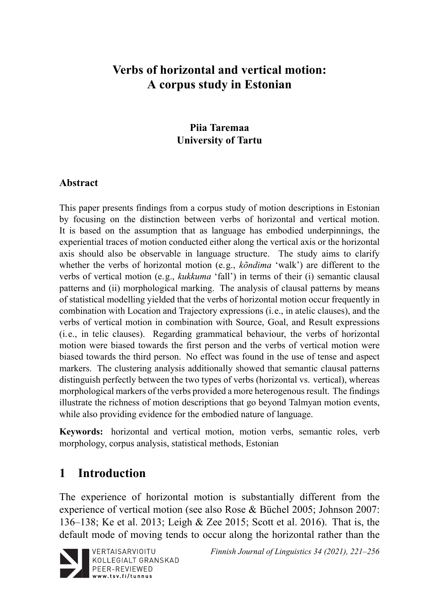## **Verbs of horizontal and vertical motion: A corpus study in Estonian**

### **Piia Taremaa University of Tartu**

#### **Abstract**

This paper presents findings from a corpus study of motion descriptions in Estonian by focusing on the distinction between verbs of horizontal and vertical motion. It is based on the assumption that as language has embodied underpinnings, the experiential traces of motion conducted either along the vertical axis or the horizontal axis should also be observable in language structure. The study aims to clarify whether the verbs of horizontal motion (e.g., *kõndima* 'walk') are different to the verbs of vertical motion (e.g., *kukkuma* 'fall') in terms of their (i) semantic clausal patterns and (ii) morphological marking. The analysis of clausal patterns by means of statistical modelling yielded that the verbs of horizontal motion occur frequently in combination with Location and Trajectory expressions (i.e., in atelic clauses), and the verbs of vertical motion in combination with Source, Goal, and Result expressions (i.e., in telic clauses). Regarding grammatical behaviour, the verbs of horizontal motion were biased towards the first person and the verbs of vertical motion were biased towards the third person. No effect was found in the use of tense and aspect markers. The clustering analysis additionally showed that semantic clausal patterns distinguish perfectly between the two types of verbs (horizontal vs. vertical), whereas morphological markers of the verbs provided a more heterogenous result. The findings illustrate the richness of motion descriptions that go beyond Talmyan motion events, while also providing evidence for the embodied nature of language.

**Keywords:** horizontal and vertical motion, motion verbs, semantic roles, verb morphology, corpus analysis, statistical methods, Estonian

## **1 Introduction**

The experience of horizontal motion is substantially different from the experience of vertical motion (see also Rose & Büchel 2005; Johnson 2007: 136–138; Ke et al. 2013; Leigh & Zee 2015; Scott et al. 2016). That is, the default mode of moving tends to occur along the horizontal rather than the



*Finnish Journal of Linguistics 34 (2021), 221–256*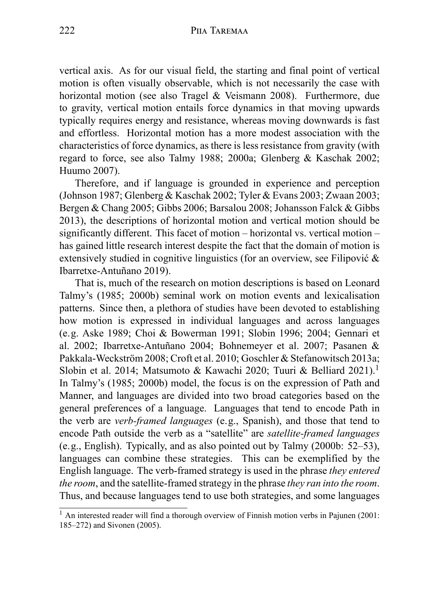vertical axis. As for our visual field, the starting and final point of vertical motion is often visually observable, which is not necessarily the case with horizontal motion (see also Tragel & Veismann 2008). Furthermore, due to gravity, vertical motion entails force dynamics in that moving upwards typically requires energy and resistance, whereas moving downwards is fast and effortless. Horizontal motion has a more modest association with the characteristics of force dynamics, as there is less resistance from gravity (with regard to force, see also Talmy 1988; 2000a; Glenberg & Kaschak 2002; Huumo 2007).

Therefore, and if language is grounded in experience and perception (Johnson 1987; Glenberg & Kaschak 2002; Tyler & Evans 2003; Zwaan 2003; Bergen & Chang 2005; Gibbs 2006; Barsalou 2008; Johansson Falck & Gibbs 2013), the descriptions of horizontal motion and vertical motion should be significantly different. This facet of motion – horizontal vs. vertical motion – has gained little research interest despite the fact that the domain of motion is extensively studied in cognitive linguistics (for an overview, see Filipović & Ibarretxe-Antuñano 2019).

That is, much of the research on motion descriptions is based on Leonard Talmy's (1985; 2000b) seminal work on motion events and lexicalisation patterns. Since then, a plethora of studies have been devoted to establishing how motion is expressed in individual languages and across languages (e.g. Aske 1989; Choi & Bowerman 1991; Slobin 1996; 2004; Gennari et al. 2002; Ibarretxe-Antuñano 2004; Bohnemeyer et al. 2007; Pasanen & Pakkala-Weckström 2008; Croft et al. 2010; Goschler & Stefanowitsch 2013a; Slobin et al. 2014; Matsumoto & Kawachi 2020; Tuuri & Belliard 2021).<sup>1</sup> In Talmy's (1985; 2000b) model, the focus is on the expression of Path and Manner, and languages are divided into two broad categories based on the general preferences of a language. Languages that tend to encode Path in the verb are *verb-framed languages* (e.g., Spanish), and those that tend to encode Path outside the verb as a "satellite" are *satellite-framed languages* (e.g., English). Typically, and as also pointed out by Talmy (2000b: 52–53), languages can combine these strategies. This can be exemplified by the English language. The verb-framed strategy is used in the phrase *they entered the room*, and the satellite-framed strategy in the phrase *they ran into the room*. Thus, and because languages tend to use both strategies, and some languages

 $<sup>1</sup>$  An interested reader will find a thorough overview of Finnish motion verbs in Pajunen (2001:</sup> 185–272) and Sivonen (2005).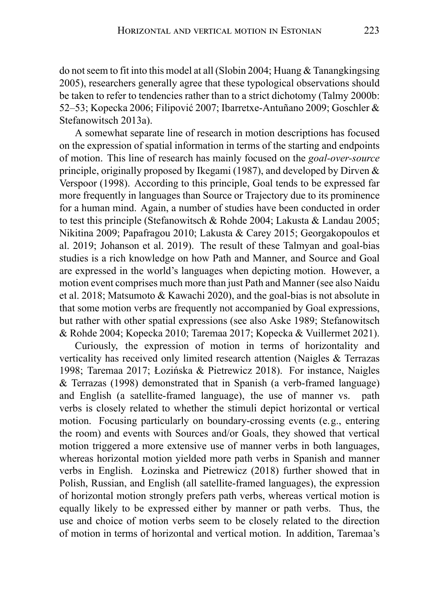do not seem to fit into this model at all (Slobin 2004; Huang & Tanangkingsing 2005), researchers generally agree that these typological observations should be taken to refer to tendencies rather than to a strict dichotomy (Talmy 2000b: 52–53; Kopecka 2006; Filipović 2007; Ibarretxe-Antuñano 2009; Goschler & Stefanowitsch 2013a).

A somewhat separate line of research in motion descriptions has focused on the expression of spatial information in terms of the starting and endpoints of motion. This line of research has mainly focused on the *goal-over-source* principle, originally proposed by Ikegami (1987), and developed by Dirven  $\&$ Verspoor (1998). According to this principle, Goal tends to be expressed far more frequently in languages than Source or Trajectory due to its prominence for a human mind. Again, a number of studies have been conducted in order to test this principle (Stefanowitsch & Rohde 2004; Lakusta & Landau 2005; Nikitina 2009; Papafragou 2010; Lakusta & Carey 2015; Georgakopoulos et al. 2019; Johanson et al. 2019). The result of these Talmyan and goal-bias studies is a rich knowledge on how Path and Manner, and Source and Goal are expressed in the world's languages when depicting motion. However, a motion event comprises much more than just Path and Manner (see also Naidu et al. 2018; Matsumoto & Kawachi 2020), and the goal-bias is not absolute in that some motion verbs are frequently not accompanied by Goal expressions, but rather with other spatial expressions (see also Aske 1989; Stefanowitsch & Rohde 2004; Kopecka 2010; Taremaa 2017; Kopecka & Vuillermet 2021).

Curiously, the expression of motion in terms of horizontality and verticality has received only limited research attention (Naigles & Terrazas 1998; Taremaa 2017; Łozińska & Pietrewicz 2018). For instance, Naigles & Terrazas (1998) demonstrated that in Spanish (a verb-framed language) and English (a satellite-framed language), the use of manner vs. path verbs is closely related to whether the stimuli depict horizontal or vertical motion. Focusing particularly on boundary-crossing events (e.g., entering the room) and events with Sources and/or Goals, they showed that vertical motion triggered a more extensive use of manner verbs in both languages, whereas horizontal motion yielded more path verbs in Spanish and manner verbs in English. Łozinska and Pietrewicz (2018) further showed that in Polish, Russian, and English (all satellite-framed languages), the expression of horizontal motion strongly prefers path verbs, whereas vertical motion is equally likely to be expressed either by manner or path verbs. Thus, the use and choice of motion verbs seem to be closely related to the direction of motion in terms of horizontal and vertical motion. In addition, Taremaa's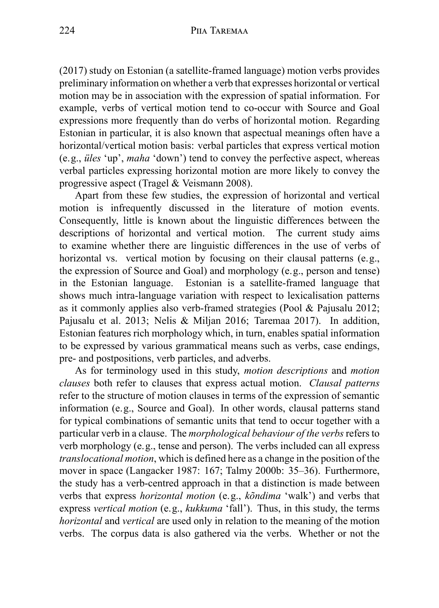(2017) study on Estonian (a satellite-framed language) motion verbs provides preliminary information on whether a verb that expresses horizontal or vertical motion may be in association with the expression of spatial information. For example, verbs of vertical motion tend to co-occur with Source and Goal expressions more frequently than do verbs of horizontal motion. Regarding Estonian in particular, it is also known that aspectual meanings often have a horizontal/vertical motion basis: verbal particles that express vertical motion (e.g., *üles* 'up', *maha* 'down') tend to convey the perfective aspect, whereas verbal particles expressing horizontal motion are more likely to convey the progressive aspect (Tragel & Veismann 2008).

Apart from these few studies, the expression of horizontal and vertical motion is infrequently discussed in the literature of motion events. Consequently, little is known about the linguistic differences between the descriptions of horizontal and vertical motion. The current study aims to examine whether there are linguistic differences in the use of verbs of horizontal vs. vertical motion by focusing on their clausal patterns (e.g., the expression of Source and Goal) and morphology (e.g., person and tense) in the Estonian language. Estonian is a satellite-framed language that shows much intra-language variation with respect to lexicalisation patterns as it commonly applies also verb-framed strategies (Pool & Pajusalu 2012; Pajusalu et al. 2013; Nelis & Miljan 2016; Taremaa 2017). In addition, Estonian features rich morphology which, in turn, enables spatial information to be expressed by various grammatical means such as verbs, case endings, pre- and postpositions, verb particles, and adverbs.

As for terminology used in this study, *motion descriptions* and *motion clauses* both refer to clauses that express actual motion. *Clausal patterns* refer to the structure of motion clauses in terms of the expression of semantic information (e.g., Source and Goal). In other words, clausal patterns stand for typical combinations of semantic units that tend to occur together with a particular verb in a clause. The *morphological behaviour of the verbs*refers to verb morphology (e.g., tense and person). The verbs included can all express *translocational motion*, which is defined here as a change in the position of the mover in space (Langacker 1987: 167; Talmy 2000b: 35–36). Furthermore, the study has a verb-centred approach in that a distinction is made between verbs that express *horizontal motion* (e.g., *kõndima* 'walk') and verbs that express *vertical motion* (e.g., *kukkuma* 'fall'). Thus, in this study, the terms *horizontal* and *vertical* are used only in relation to the meaning of the motion verbs. The corpus data is also gathered via the verbs. Whether or not the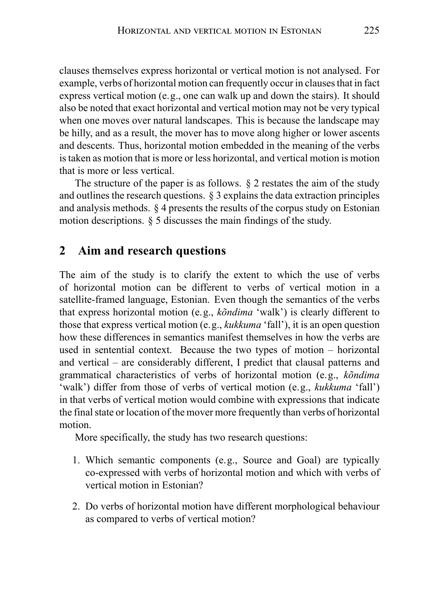clauses themselves express horizontal or vertical motion is not analysed. For example, verbs of horizontal motion can frequently occur in clauses that in fact express vertical motion (e.g., one can walk up and down the stairs). It should also be noted that exact horizontal and vertical motion may not be very typical when one moves over natural landscapes. This is because the landscape may be hilly, and as a result, the mover has to move along higher or lower ascents and descents. Thus, horizontal motion embedded in the meaning of the verbs is taken as motion that is more or less horizontal, and vertical motion is motion that is more or less vertical.

The structure of the paper is as follows. § 2 restates the aim of the study and outlines the research questions. § 3 explains the data extraction principles and analysis methods. § 4 presents the results of the corpus study on Estonian motion descriptions. § 5 discusses the main findings of the study.

### **2 Aim and research questions**

The aim of the study is to clarify the extent to which the use of verbs of horizontal motion can be different to verbs of vertical motion in a satellite-framed language, Estonian. Even though the semantics of the verbs that express horizontal motion (e.g., *kõndima* 'walk') is clearly different to those that express vertical motion (e.g., *kukkuma* 'fall'), it is an open question how these differences in semantics manifest themselves in how the verbs are used in sentential context. Because the two types of motion – horizontal and vertical – are considerably different, I predict that clausal patterns and grammatical characteristics of verbs of horizontal motion (e.g., *kõndima* 'walk') differ from those of verbs of vertical motion (e.g., *kukkuma* 'fall') in that verbs of vertical motion would combine with expressions that indicate the final state or location of the mover more frequently than verbs of horizontal motion.

More specifically, the study has two research questions:

- 1. Which semantic components (e.g., Source and Goal) are typically co-expressed with verbs of horizontal motion and which with verbs of vertical motion in Estonian?
- 2. Do verbs of horizontal motion have different morphological behaviour as compared to verbs of vertical motion?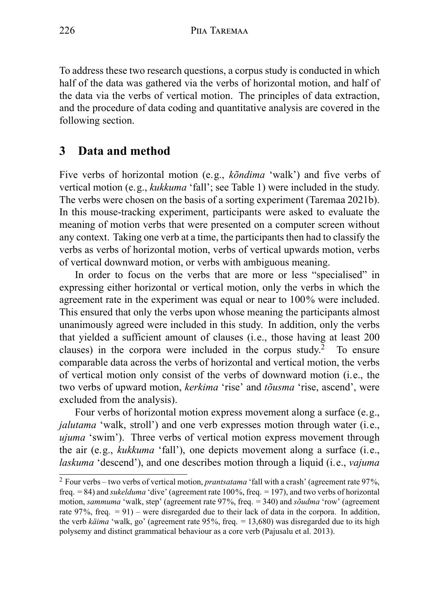To address these two research questions, a corpus study is conducted in which half of the data was gathered via the verbs of horizontal motion, and half of the data via the verbs of vertical motion. The principles of data extraction, and the procedure of data coding and quantitative analysis are covered in the following section.

## **3 Data and method**

Five verbs of horizontal motion (e.g., *kõndima* 'walk') and five verbs of vertical motion (e.g., *kukkuma* 'fall'; see Table 1) were included in the study. The verbs were chosen on the basis of a sorting experiment (Taremaa 2021b). In this mouse-tracking experiment, participants were asked to evaluate the meaning of motion verbs that were presented on a computer screen without any context. Taking one verb at a time, the participants then had to classify the verbs as verbs of horizontal motion, verbs of vertical upwards motion, verbs of vertical downward motion, or verbs with ambiguous meaning.

In order to focus on the verbs that are more or less "specialised" in expressing either horizontal or vertical motion, only the verbs in which the agreement rate in the experiment was equal or near to 100% were included. This ensured that only the verbs upon whose meaning the participants almost unanimously agreed were included in this study. In addition, only the verbs that yielded a sufficient amount of clauses (i.e., those having at least 200 clauses) in the corpora were included in the corpus study.<sup>2</sup> To ensure comparable data across the verbs of horizontal and vertical motion, the verbs of vertical motion only consist of the verbs of downward motion (i.e., the two verbs of upward motion, *kerkima* 'rise' and *tõusma* 'rise, ascend', were excluded from the analysis).

Four verbs of horizontal motion express movement along a surface (e.g., *jalutama* 'walk, stroll') and one verb expresses motion through water (*i.e.*, *ujuma* 'swim'). Three verbs of vertical motion express movement through the air (e.g., *kukkuma* 'fall'), one depicts movement along a surface (i.e., *laskuma* 'descend'), and one describes motion through a liquid (i.e., *vajuma*

<sup>2</sup> Four verbs – two verbs of vertical motion, *prantsatama* 'fall with a crash' (agreement rate 97%, freq. = 84) and *sukelduma* 'dive' (agreement rate 100%, freq. = 197), and two verbs of horizontal motion, *sammuma* 'walk, step' (agreement rate 97%, freq. = 340) and *sõudma* 'row' (agreement rate 97%, freq. = 91) – were disregarded due to their lack of data in the corpora. In addition, the verb *käima* 'walk, go' (agreement rate 95%, freq. = 13,680) was disregarded due to its high polysemy and distinct grammatical behaviour as a core verb (Pajusalu et al. 2013).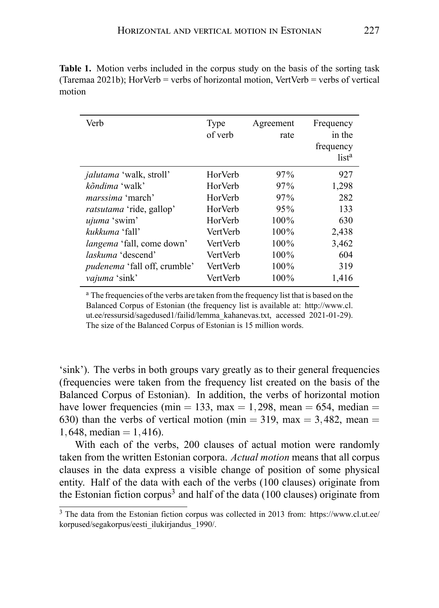| Verb                                | Type<br>of verb | Agreement<br>rate | Frequency<br>in the<br>frequency<br>list <sup>a</sup> |
|-------------------------------------|-----------------|-------------------|-------------------------------------------------------|
| <i>jalutama</i> 'walk, stroll'      | HorVerb         | 97%               | 927                                                   |
| kõndima 'walk'                      | HorVerb         | 97%               | 1,298                                                 |
| <i>marssima</i> 'march'             | HorVerb         | 97%               | 282                                                   |
| <i>ratsutama</i> 'ride, gallop'     | HorVerb         | 95%               | 133                                                   |
| ujuma 'swim'                        | HorVerb         | $100\%$           | 630                                                   |
| kukkuma 'fall'                      | VertVerb        | $100\%$           | 2,438                                                 |
| <i>langema</i> 'fall, come down'    | <b>VertVerb</b> | $100\%$           | 3,462                                                 |
| <i>laskuma</i> 'descend'            | VertVerb        | $100\%$           | 604                                                   |
| <i>pudenema</i> 'fall off, crumble' | VertVerb        | $100\%$           | 319                                                   |
| vajuma 'sink'                       | VertVerb        | 100%              | 1.416                                                 |

**Table 1.** Motion verbs included in the corpus study on the basis of the sorting task (Taremaa 2021b); HorVerb = verbs of horizontal motion, VertVerb = verbs of vertical motion

<sup>a</sup> The frequencies of the verbs are taken from the frequency list that is based on the Balanced Corpus of Estonian (the frequency list is available at: http://www.cl. ut.ee/ressursid/sagedused1/failid/lemma\_kahanevas.txt, accessed 2021-01-29). The size of the Balanced Corpus of Estonian is 15 million words.

'sink'). The verbs in both groups vary greatly as to their general frequencies (frequencies were taken from the frequency list created on the basis of the Balanced Corpus of Estonian). In addition, the verbs of horizontal motion have lower frequencies (min  $= 133$ , max  $= 1,298$ , mean  $= 654$ , median  $=$ 630) than the verbs of vertical motion (min  $=$  319, max  $=$  3,482, mean  $=$ 1,648, median  $= 1,416$ .

With each of the verbs, 200 clauses of actual motion were randomly taken from the written Estonian corpora. *Actual motion* means that all corpus clauses in the data express a visible change of position of some physical entity. Half of the data with each of the verbs (100 clauses) originate from the Estonian fiction corpus<sup>3</sup> and half of the data (100 clauses) originate from

<sup>3</sup> The data from the Estonian fiction corpus was collected in 2013 from: https://www.cl.ut.ee/ korpused/segakorpus/eesti\_ilukirjandus\_1990/.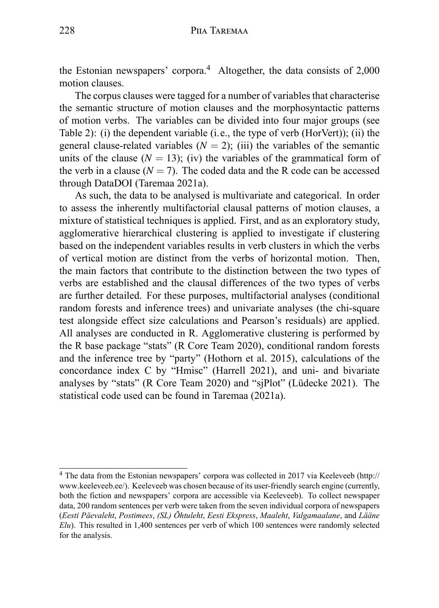the Estonian newspapers' corpora.<sup>4</sup> Altogether, the data consists of 2,000 motion clauses.

The corpus clauses were tagged for a number of variables that characterise the semantic structure of motion clauses and the morphosyntactic patterns of motion verbs. The variables can be divided into four major groups (see Table 2): (i) the dependent variable (i.e., the type of verb (HorVert)); (ii) the general clause-related variables  $(N = 2)$ ; (iii) the variables of the semantic units of the clause  $(N = 13)$ ; (iv) the variables of the grammatical form of the verb in a clause  $(N = 7)$ . The coded data and the R code can be accessed through DataDOI (Taremaa 2021a).

As such, the data to be analysed is multivariate and categorical. In order to assess the inherently multifactorial clausal patterns of motion clauses, a mixture of statistical techniques is applied. First, and as an exploratory study, agglomerative hierarchical clustering is applied to investigate if clustering based on the independent variables results in verb clusters in which the verbs of vertical motion are distinct from the verbs of horizontal motion. Then, the main factors that contribute to the distinction between the two types of verbs are established and the clausal differences of the two types of verbs are further detailed. For these purposes, multifactorial analyses (conditional random forests and inference trees) and univariate analyses (the chi-square test alongside effect size calculations and Pearson's residuals) are applied. All analyses are conducted in R. Agglomerative clustering is performed by the R base package "stats" (R Core Team 2020), conditional random forests and the inference tree by "party" (Hothorn et al. 2015), calculations of the concordance index C by "Hmisc" (Harrell 2021), and uni- and bivariate analyses by "stats" (R Core Team 2020) and "sjPlot" (Lüdecke 2021). The statistical code used can be found in Taremaa (2021a).

<sup>4</sup> The data from the Estonian newspapers' corpora was collected in 2017 via Keeleveeb (http:// www.keeleveeb.ee/). Keeleveeb was chosen because of its user-friendly search engine (currently, both the fiction and newspapers' corpora are accessible via Keeleveeb). To collect newspaper data, 200 random sentences per verb were taken from the seven individual corpora of newspapers (*Eesti Päevaleht*, *Postimees*, *(SL) Õhtuleht*, *Eesti Ekspress*, *Maaleht*, *Valgamaalane*, and *Lääne Elu*). This resulted in 1,400 sentences per verb of which 100 sentences were randomly selected for the analysis.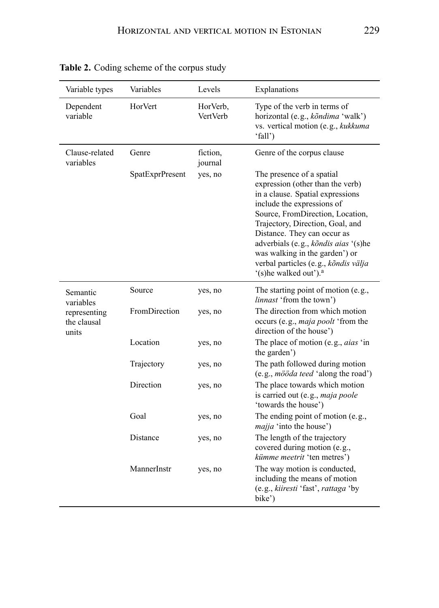| Variable types                       | Variables       | Levels               | Explanations                                                                                                                                                                                                                                                                                                                                                                                  |
|--------------------------------------|-----------------|----------------------|-----------------------------------------------------------------------------------------------------------------------------------------------------------------------------------------------------------------------------------------------------------------------------------------------------------------------------------------------------------------------------------------------|
| Dependent<br>variable                | HorVert         | HorVerb,<br>VertVerb | Type of the verb in terms of<br>horizontal (e.g., kõndima 'walk')<br>vs. vertical motion (e.g., kukkuma<br>'fall')                                                                                                                                                                                                                                                                            |
| Clause-related<br>variables          | Genre           | fiction,<br>journal  | Genre of the corpus clause                                                                                                                                                                                                                                                                                                                                                                    |
|                                      | SpatExprPresent | yes, no              | The presence of a spatial<br>expression (other than the verb)<br>in a clause. Spatial expressions<br>include the expressions of<br>Source, FromDirection, Location,<br>Trajectory, Direction, Goal, and<br>Distance. They can occur as<br>adverbials (e.g., kõndis aias '(s)he<br>was walking in the garden') or<br>verbal particles (e.g., kõndis välja<br>'(s)he walked out'). <sup>a</sup> |
| Semantic<br>variables                | Source          | yes, no              | The starting point of motion (e.g.,<br><i>linnast</i> 'from the town')                                                                                                                                                                                                                                                                                                                        |
| representing<br>the clausal<br>units | FromDirection   | yes, no              | The direction from which motion<br>occurs (e.g., <i>maja poolt</i> 'from the<br>direction of the house')                                                                                                                                                                                                                                                                                      |
|                                      | Location        | yes, no              | The place of motion (e.g., <i>aias</i> 'in<br>the garden')                                                                                                                                                                                                                                                                                                                                    |
|                                      | Trajectory      | yes, no              | The path followed during motion<br>(e.g., <i>mööda teed</i> 'along the road')                                                                                                                                                                                                                                                                                                                 |
|                                      | Direction       | yes, no              | The place towards which motion<br>is carried out (e.g., maja poole<br>'towards the house')                                                                                                                                                                                                                                                                                                    |
|                                      | Goal            | yes, no              | The ending point of motion (e.g.,<br><i>majja</i> 'into the house')                                                                                                                                                                                                                                                                                                                           |
|                                      | Distance        | yes, no              | The length of the trajectory<br>covered during motion (e.g.,<br>kümme meetrit 'ten metres')                                                                                                                                                                                                                                                                                                   |
|                                      | MannerInstr     | yes, no              | The way motion is conducted,<br>including the means of motion<br>(e.g., kiiresti 'fast', rattaga 'by<br>bike')                                                                                                                                                                                                                                                                                |

**Table 2.** Coding scheme of the corpus study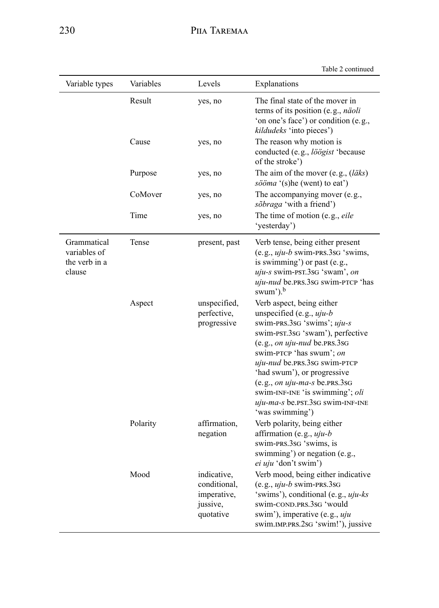Table 2 continued

| Variable types                                         | Variables | Levels                                                              | Explanations                                                                                                                                                                                                                                                                                                                                                                         |
|--------------------------------------------------------|-----------|---------------------------------------------------------------------|--------------------------------------------------------------------------------------------------------------------------------------------------------------------------------------------------------------------------------------------------------------------------------------------------------------------------------------------------------------------------------------|
|                                                        | Result    | yes, no                                                             | The final state of the mover in<br>terms of its position (e.g., <i>näoli</i><br>'on one's face') or condition (e.g.,<br>kildudeks 'into pieces')                                                                                                                                                                                                                                     |
|                                                        | Cause     | yes, no                                                             | The reason why motion is<br>conducted (e.g., löögist 'because<br>of the stroke')                                                                                                                                                                                                                                                                                                     |
|                                                        | Purpose   | yes, no                                                             | The aim of the mover (e.g., $(läks)$ )<br>sööma '(s)he (went) to eat')                                                                                                                                                                                                                                                                                                               |
|                                                        | CoMover   | yes, no                                                             | The accompanying mover (e.g.,<br>sõbraga 'with a friend')                                                                                                                                                                                                                                                                                                                            |
|                                                        | Time      | yes, no                                                             | The time of motion (e.g., eile<br>'yesterday')                                                                                                                                                                                                                                                                                                                                       |
| Grammatical<br>variables of<br>the verb in a<br>clause | Tense     | present, past                                                       | Verb tense, being either present<br>$(e.g., uju-b swim-PRS.3SG 'swims,$<br>is swimming') or past (e.g.,<br>uju-s swim-PST.3sG 'swam', on<br>uju-nud be.prs.3sG swim-PTCP 'has<br>swum'). <sup>b</sup>                                                                                                                                                                                |
|                                                        | Aspect    | unspecified,<br>perfective,<br>progressive                          | Verb aspect, being either<br>unspecified (e.g., $uju-b$<br>swim-PRS.3sG 'swims'; uju-s<br>swim-PST.3sG 'swam'), perfective<br>$(e.g., on$ uju-nud be.prs.3sg<br>swim-PTCP 'has swum'; on<br>uju-nud be.prs.3sG swim-PTCP<br>'had swum'), or progressive<br>$(e.g., on uju-ma-s$ be PRS 3sG<br>swim-INF-INE 'is swimming'; oli<br>uju-ma-s be.psr.3sG swim-INF-INE<br>'was swimming') |
|                                                        | Polarity  | affirmation,<br>negation                                            | Verb polarity, being either<br>affirmation (e.g., $uju-b$<br>swim-prs.3sq 'swims, is<br>swimming') or negation (e.g.,<br>ei uju 'don't swim')                                                                                                                                                                                                                                        |
|                                                        | Mood      | indicative,<br>conditional,<br>imperative,<br>jussive,<br>quotative | Verb mood, being either indicative<br>$(e.g., uju-b swim-PRS.3SG)$<br>'swims'), conditional (e.g., <i>uju-ks</i><br>swim-COND.PRS.3sG 'would<br>swim'), imperative (e.g., <i>uju</i><br>swim.IMP.PRS.2sG 'swim!'), jussive                                                                                                                                                           |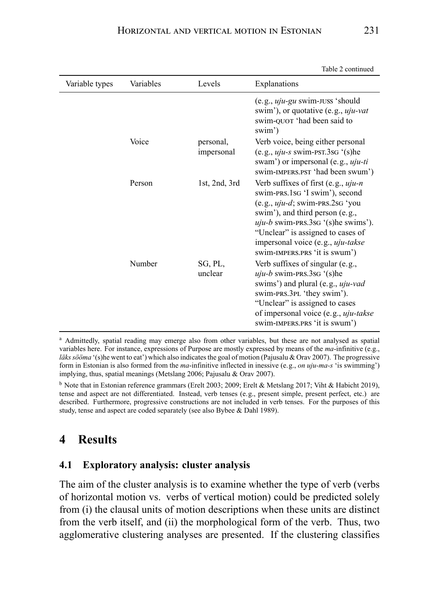Table 2 continued

|                |           |                         | Taon 2 communi                                                                                                                                                                                                                                                                                            |
|----------------|-----------|-------------------------|-----------------------------------------------------------------------------------------------------------------------------------------------------------------------------------------------------------------------------------------------------------------------------------------------------------|
| Variable types | Variables | Levels                  | Explanations                                                                                                                                                                                                                                                                                              |
|                |           |                         | $(e.g., uju-gu swim-JUSS 'should$<br>swim'), or quotative (e.g., <i>uju-vat</i><br>swim-QUOT 'had been said to<br>swim')                                                                                                                                                                                  |
|                | Voice     | personal,<br>impersonal | Verb voice, being either personal<br>$(e.g., uju-s swim-PST.3SG '(s)he$<br>swam') or impersonal (e.g., <i>uju-ti</i><br>swim-IMPERS.PST 'had been swum')                                                                                                                                                  |
|                | Person    | 1st, $2nd$ , $3rd$      | Verb suffixes of first (e.g., $uju-n$<br>swim-prs.1sq 'I swim'), second<br>$(e.g., uju-d; swim-PRS.2SG' you$<br>swim'), and third person (e.g.,<br>$uiu-b$ swim-PRS.3sG '(s)he swims').<br>"Unclear" is assigned to cases of<br>impersonal voice (e.g., <i>uju-takse</i><br>swim-IMPERS.PRS 'it is swum') |
|                | Number    | SG, PL,<br>unclear      | Verb suffixes of singular (e.g.,<br>$uiu-b$ swim-prs.3sg $'(s)$ he<br>swims') and plural (e.g., <i>uju-vad</i><br>swim-prs.3pl 'they swim').<br>"Unclear" is assigned to cases<br>of impersonal voice (e.g., uju-takse<br>swim-IMPERS.PRS 'it is swum')                                                   |

<sup>a</sup> Admittedly, spatial reading may emerge also from other variables, but these are not analysed as spatial variables here. For instance, expressions of Purpose are mostly expressed by means of the *ma*-infinitive (e.g., *läks sööma* '(s)he went to eat') which also indicates the goal of motion (Pajusalu & Orav 2007). The progressive form in Estonian is also formed from the *ma*-infinitive inflected in inessive (e.g., *on uju-ma-s* 'is swimming') implying, thus, spatial meanings (Metslang 2006; Pajusalu & Orav 2007).

<sup>b</sup> Note that in Estonian reference grammars (Erelt 2003; 2009; Erelt & Metslang 2017; Viht & Habicht 2019), tense and aspect are not differentiated. Instead, verb tenses (e.g., present simple, present perfect, etc.) are described. Furthermore, progressive constructions are not included in verb tenses. For the purposes of this study, tense and aspect are coded separately (see also Bybee & Dahl 1989).

## **4 Results**

#### **4.1 Exploratory analysis: cluster analysis**

The aim of the cluster analysis is to examine whether the type of verb (verbs of horizontal motion vs. verbs of vertical motion) could be predicted solely from (i) the clausal units of motion descriptions when these units are distinct from the verb itself, and (ii) the morphological form of the verb. Thus, two agglomerative clustering analyses are presented. If the clustering classifies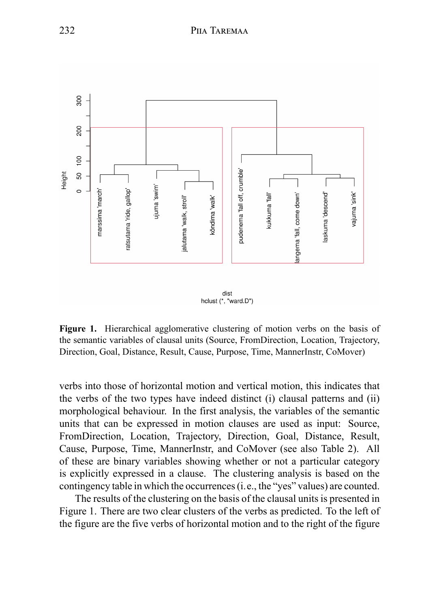

**Figure 1.** Hierarchical agglomerative clustering of motion verbs on the basis of the semantic variables of clausal units (Source, FromDirection, Location, Trajectory, Direction, Goal, Distance, Result, Cause, Purpose, Time, MannerInstr, CoMover)

verbs into those of horizontal motion and vertical motion, this indicates that the verbs of the two types have indeed distinct (i) clausal patterns and (ii) morphological behaviour. In the first analysis, the variables of the semantic units that can be expressed in motion clauses are used as input: Source, FromDirection, Location, Trajectory, Direction, Goal, Distance, Result, Cause, Purpose, Time, MannerInstr, and CoMover (see also Table 2). All of these are binary variables showing whether or not a particular category is explicitly expressed in a clause. The clustering analysis is based on the contingency table in which the occurrences (i.e., the "yes" values) are counted.

The results of the clustering on the basis of the clausal units is presented in Figure 1. There are two clear clusters of the verbs as predicted. To the left of the figure are the five verbs of horizontal motion and to the right of the figure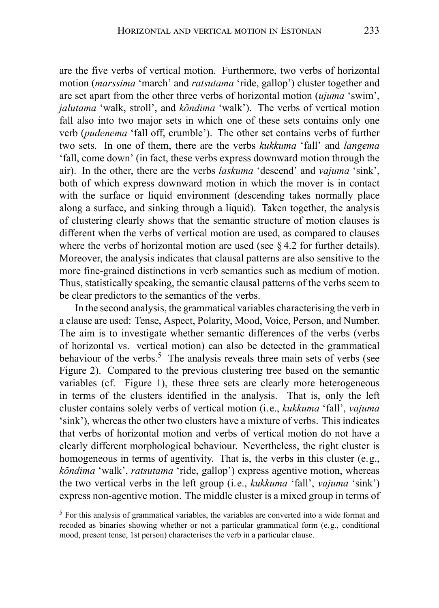are the five verbs of vertical motion. Furthermore, two verbs of horizontal motion (*marssima* 'march' and *ratsutama* 'ride, gallop') cluster together and are set apart from the other three verbs of horizontal motion (*ujuma* 'swim', *jalutama* 'walk, stroll', and *kõndima* 'walk'). The verbs of vertical motion fall also into two major sets in which one of these sets contains only one verb (*pudenema* 'fall off, crumble'). The other set contains verbs of further two sets. In one of them, there are the verbs *kukkuma* 'fall' and *langema* 'fall, come down' (in fact, these verbs express downward motion through the air). In the other, there are the verbs *laskuma* 'descend' and *vajuma* 'sink', both of which express downward motion in which the mover is in contact with the surface or liquid environment (descending takes normally place along a surface, and sinking through a liquid). Taken together, the analysis of clustering clearly shows that the semantic structure of motion clauses is different when the verbs of vertical motion are used, as compared to clauses where the verbs of horizontal motion are used (see  $84.2$  for further details). Moreover, the analysis indicates that clausal patterns are also sensitive to the more fine-grained distinctions in verb semantics such as medium of motion. Thus, statistically speaking, the semantic clausal patterns of the verbs seem to be clear predictors to the semantics of the verbs.

In the second analysis, the grammatical variables characterising the verb in a clause are used: Tense, Aspect, Polarity, Mood, Voice, Person, and Number. The aim is to investigate whether semantic differences of the verbs (verbs of horizontal vs. vertical motion) can also be detected in the grammatical behaviour of the verbs.<sup>5</sup> The analysis reveals three main sets of verbs (see Figure 2). Compared to the previous clustering tree based on the semantic variables (cf. Figure 1), these three sets are clearly more heterogeneous in terms of the clusters identified in the analysis. That is, only the left cluster contains solely verbs of vertical motion (i.e., *kukkuma* 'fall', *vajuma* 'sink'), whereas the other two clusters have a mixture of verbs. This indicates that verbs of horizontal motion and verbs of vertical motion do not have a clearly different morphological behaviour. Nevertheless, the right cluster is homogeneous in terms of agentivity. That is, the verbs in this cluster (e.g., *kõndima* 'walk', *ratsutama* 'ride, gallop') express agentive motion, whereas the two vertical verbs in the left group (i.e., *kukkuma* 'fall', *vajuma* 'sink') express non-agentive motion. The middle cluster is a mixed group in terms of

<sup>5</sup> For this analysis of grammatical variables, the variables are converted into a wide format and recoded as binaries showing whether or not a particular grammatical form (e.g., conditional mood, present tense, 1st person) characterises the verb in a particular clause.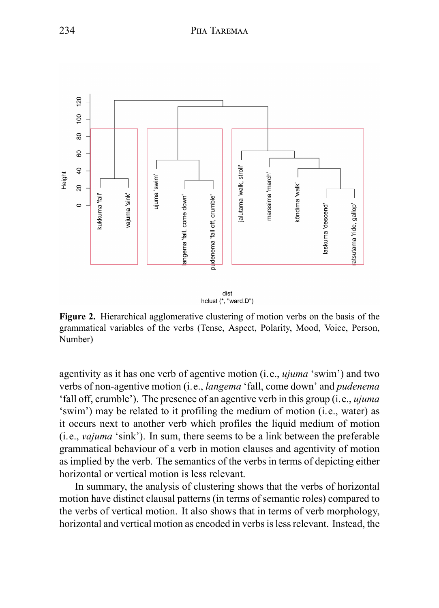

**Figure 2.** Hierarchical agglomerative clustering of motion verbs on the basis of the grammatical variables of the verbs (Tense, Aspect, Polarity, Mood, Voice, Person, Number)

agentivity as it has one verb of agentive motion (i.e., *ujuma* 'swim') and two verbs of non-agentive motion (i.e., *langema* 'fall, come down' and *pudenema* 'fall off, crumble'). The presence of an agentive verb in this group (i.e., *ujuma* 'swim') may be related to it profiling the medium of motion (i.e., water) as it occurs next to another verb which profiles the liquid medium of motion (i.e., *vajuma* 'sink'). In sum, there seems to be a link between the preferable grammatical behaviour of a verb in motion clauses and agentivity of motion as implied by the verb. The semantics of the verbs in terms of depicting either horizontal or vertical motion is less relevant.

In summary, the analysis of clustering shows that the verbs of horizontal motion have distinct clausal patterns (in terms of semantic roles) compared to the verbs of vertical motion. It also shows that in terms of verb morphology, horizontal and vertical motion as encoded in verbs is less relevant. Instead, the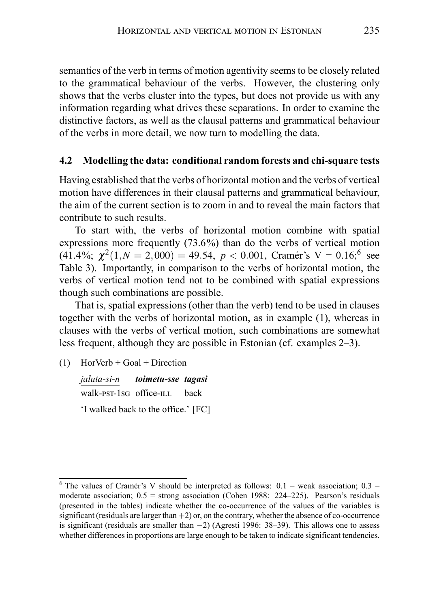semantics of the verb in terms of motion agentivity seems to be closely related to the grammatical behaviour of the verbs. However, the clustering only shows that the verbs cluster into the types, but does not provide us with any information regarding what drives these separations. In order to examine the distinctive factors, as well as the clausal patterns and grammatical behaviour of the verbs in more detail, we now turn to modelling the data.

#### **4.2 Modelling the data: conditional random forests and chi-square tests**

Having established that the verbs of horizontal motion and the verbs of vertical motion have differences in their clausal patterns and grammatical behaviour, the aim of the current section is to zoom in and to reveal the main factors that contribute to such results.

To start with, the verbs of horizontal motion combine with spatial expressions more frequently (73.6%) than do the verbs of vertical motion (41.4%;  $\chi^2(1, N = 2,000) = 49.54$ ,  $p < 0.001$ , Cramér's V = 0.16;<sup>6</sup> see Table 3). Importantly, in comparison to the verbs of horizontal motion, the verbs of vertical motion tend not to be combined with spatial expressions though such combinations are possible.

That is, spatial expressions (other than the verb) tend to be used in clauses together with the verbs of horizontal motion, as in example (1), whereas in clauses with the verbs of vertical motion, such combinations are somewhat less frequent, although they are possible in Estonian (cf. examples 2–3).

(1) HorVerb + Goal + Direction

*jaluta-si-n* walk-pst-1sG office-ILL *toimetu-sse tagasi* back 'I walked back to the office.' [FC]

<sup>&</sup>lt;sup>6</sup> The values of Cramér's V should be interpreted as follows:  $0.1$  = weak association;  $0.3$  = moderate association;  $0.5$  = strong association (Cohen 1988: 224–225). Pearson's residuals (presented in the tables) indicate whether the co-occurrence of the values of the variables is significant (residuals are larger than  $+2$ ) or, on the contrary, whether the absence of co-occurrence is significant (residuals are smaller than *−*2) (Agresti 1996: 38–39). This allows one to assess whether differences in proportions are large enough to be taken to indicate significant tendencies.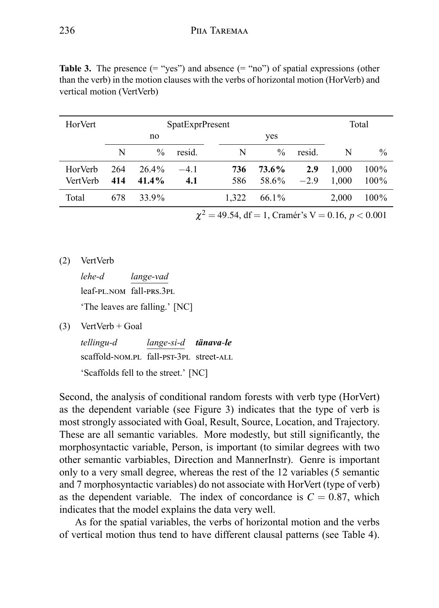| <b>HorVert</b>  |     |               | SpatExprPresent |       |               |        |       | Total   |
|-----------------|-----|---------------|-----------------|-------|---------------|--------|-------|---------|
|                 |     | no            |                 |       | yes           |        |       |         |
|                 | N   | $\frac{0}{0}$ | resid.          | N     | $\frac{0}{0}$ | resid. | N     | $\%$    |
| HorVerb         | 264 | $26.4\%$      | $-4.1$          | 736   | 73.6%         | 2.9    | 1,000 | 100%    |
| <b>VertVerb</b> | 414 | $41.4\%$      | 4.1             | 586   | 58.6%         | $-2.9$ | 1.000 | $100\%$ |
| Total           | 678 | 33.9%         |                 | 1.322 | 66.1%         |        | 2,000 | 100%    |
|                 |     |               | $\sim$          |       |               |        |       |         |

**Table 3.** The presence  $(=(x^2 \text{yes}^2))$  and absence  $(=(x^2 \text{yos}^2))$  of spatial expressions (other than the verb) in the motion clauses with the verbs of horizontal motion (HorVerb) and vertical motion (VertVerb)

 $\chi^2 = 49.54$ , df = 1, Cramér's V = 0.16, *p* < 0.001

(2) VertVerb

*lehe-d* leaf-pl.nom fall-prs.3pl *lange-vad*

'The leaves are falling.' [NC]

 $(3)$  VertVerb + Goal

*tellingu-d* scaffold-NOM.PL fall-PST-3PL street-ALL *lange-si-d tänava-le* 'Scaffolds fell to the street.' [NC]

Second, the analysis of conditional random forests with verb type (HorVert) as the dependent variable (see Figure 3) indicates that the type of verb is most strongly associated with Goal, Result, Source, Location, and Trajectory. These are all semantic variables. More modestly, but still significantly, the morphosyntactic variable, Person, is important (to similar degrees with two other semantic varbiables, Direction and MannerInstr). Genre is important only to a very small degree, whereas the rest of the 12 variables (5 semantic and 7 morphosyntactic variables) do not associate with HorVert (type of verb) as the dependent variable. The index of concordance is  $C = 0.87$ , which indicates that the model explains the data very well.

As for the spatial variables, the verbs of horizontal motion and the verbs of vertical motion thus tend to have different clausal patterns (see Table 4).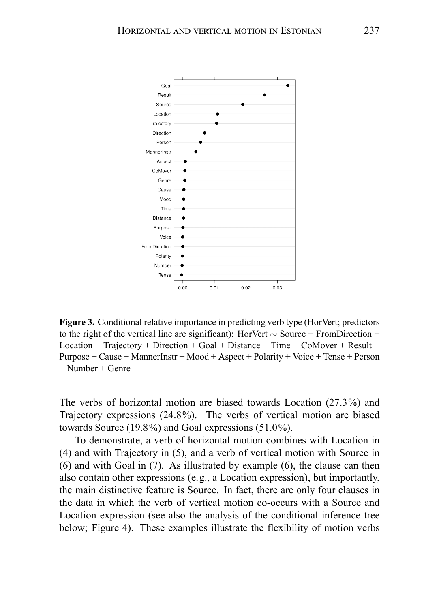

**Figure 3.** Conditional relative importance in predicting verb type (HorVert; predictors to the right of the vertical line are significant): HorVert *∼* Source + FromDirection + Location + Trajectory + Direction + Goal + Distance + Time + CoMover + Result + Purpose + Cause + MannerInstr + Mood + Aspect + Polarity + Voice + Tense + Person + Number + Genre

The verbs of horizontal motion are biased towards Location (27.3%) and Trajectory expressions (24.8%). The verbs of vertical motion are biased towards Source (19.8%) and Goal expressions (51.0%).

To demonstrate, a verb of horizontal motion combines with Location in (4) and with Trajectory in (5), and a verb of vertical motion with Source in (6) and with Goal in (7). As illustrated by example (6), the clause can then also contain other expressions (e.g., a Location expression), but importantly, the main distinctive feature is Source. In fact, there are only four clauses in the data in which the verb of vertical motion co-occurs with a Source and Location expression (see also the analysis of the conditional inference tree below; Figure 4). These examples illustrate the flexibility of motion verbs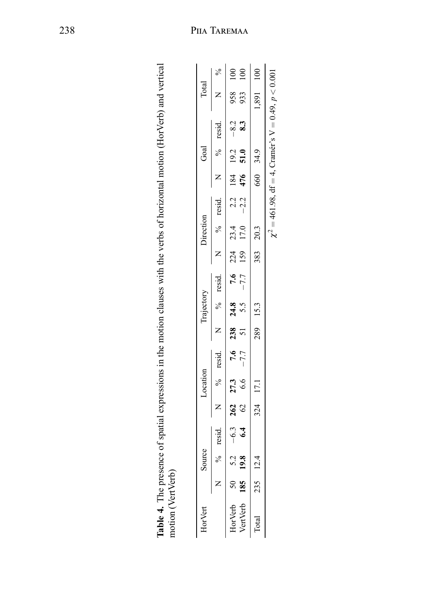| HorVert                                                                                                                                                                                                                      | Source |            | Location |                                               | Trajectory |  | Direction |  | Goa <sup>1</sup> | Total     |        |
|------------------------------------------------------------------------------------------------------------------------------------------------------------------------------------------------------------------------------|--------|------------|----------|-----------------------------------------------|------------|--|-----------|--|------------------|-----------|--------|
|                                                                                                                                                                                                                              |        | % resid. N |          | % resid. N N % resid N N % resid N N % resid. |            |  |           |  |                  |           | %<br>¤ |
| Hervetb SO 5.2 5.2 $262$ $27.3$ $27.3$ $27.4$ $27.4$ $27.5$ $27.4$ $22.4$ $23.4$ $23.4$ $23.4$ $23.4$ $23.4$ $23.4$ $23.4$ $23.4$ $23.4$ $23.4$ $23.4$ $23.4$ $23.4$ $23.4$ $23.4$ $23.4$ $23.4$ $23.4$ $23.4$ $23.4$ $23.4$ |        |            |          |                                               |            |  |           |  |                  |           |        |
| VertVerb 185 19.8 6.4 62 6.6 -7.7 5.5 -7.7 15.9 17.0 -2.2 476 51.0 8.3                                                                                                                                                       |        |            |          |                                               |            |  |           |  |                  | 933 100   |        |
| Total 235 12.4                                                                                                                                                                                                               |        |            | 324 17.1 |                                               | 289 15.3   |  | 383 20.3  |  | 660 34.9         | 1,891 100 |        |

| j                                                                                                                                                                                                                                                                                                                                                                                                                                                            |             |
|--------------------------------------------------------------------------------------------------------------------------------------------------------------------------------------------------------------------------------------------------------------------------------------------------------------------------------------------------------------------------------------------------------------------------------------------------------------|-------------|
|                                                                                                                                                                                                                                                                                                                                                                                                                                                              |             |
|                                                                                                                                                                                                                                                                                                                                                                                                                                                              |             |
|                                                                                                                                                                                                                                                                                                                                                                                                                                                              |             |
|                                                                                                                                                                                                                                                                                                                                                                                                                                                              |             |
| ֦֧֦֦֦֦֦֪֦֪֦֧֦֦֧֪֦֧֦֧֧֦֧֦֧֧֪֧֝֝֝֝֝֝֝֝֝֝֬֝֓֝֬֝֟֓֟֓֟֓֝֓֟֓֟֓֝֓֝֬֝<br>ĺ                                                                                                                                                                                                                                                                                                                                                                                           |             |
|                                                                                                                                                                                                                                                                                                                                                                                                                                                              |             |
|                                                                                                                                                                                                                                                                                                                                                                                                                                                              |             |
|                                                                                                                                                                                                                                                                                                                                                                                                                                                              |             |
|                                                                                                                                                                                                                                                                                                                                                                                                                                                              |             |
|                                                                                                                                                                                                                                                                                                                                                                                                                                                              |             |
|                                                                                                                                                                                                                                                                                                                                                                                                                                                              |             |
|                                                                                                                                                                                                                                                                                                                                                                                                                                                              |             |
|                                                                                                                                                                                                                                                                                                                                                                                                                                                              |             |
| in a veralle.                                                                                                                                                                                                                                                                                                                                                                                                                                                |             |
| i                                                                                                                                                                                                                                                                                                                                                                                                                                                            |             |
| <br>                                                                                                                                                                                                                                                                                                                                                                                                                                                         |             |
|                                                                                                                                                                                                                                                                                                                                                                                                                                                              |             |
|                                                                                                                                                                                                                                                                                                                                                                                                                                                              |             |
| :<br>;                                                                                                                                                                                                                                                                                                                                                                                                                                                       |             |
|                                                                                                                                                                                                                                                                                                                                                                                                                                                              |             |
|                                                                                                                                                                                                                                                                                                                                                                                                                                                              |             |
| $\mathcal{L} = \mathcal{L} + \mathcal{L} + \mathcal{L} + \mathcal{L} + \mathcal{L} + \mathcal{L} + \mathcal{L} + \mathcal{L} + \mathcal{L} + \mathcal{L} + \mathcal{L} + \mathcal{L} + \mathcal{L} + \mathcal{L} + \mathcal{L} + \mathcal{L} + \mathcal{L} + \mathcal{L} + \mathcal{L} + \mathcal{L} + \mathcal{L} + \mathcal{L} + \mathcal{L} + \mathcal{L} + \mathcal{L} + \mathcal{L} + \mathcal{L} + \mathcal{L} + \mathcal{L} + \mathcal{L} + \mathcal$ |             |
|                                                                                                                                                                                                                                                                                                                                                                                                                                                              |             |
|                                                                                                                                                                                                                                                                                                                                                                                                                                                              |             |
|                                                                                                                                                                                                                                                                                                                                                                                                                                                              |             |
|                                                                                                                                                                                                                                                                                                                                                                                                                                                              |             |
| i                                                                                                                                                                                                                                                                                                                                                                                                                                                            |             |
|                                                                                                                                                                                                                                                                                                                                                                                                                                                              |             |
|                                                                                                                                                                                                                                                                                                                                                                                                                                                              |             |
|                                                                                                                                                                                                                                                                                                                                                                                                                                                              |             |
|                                                                                                                                                                                                                                                                                                                                                                                                                                                              | j           |
| $\frac{1}{2}$<br>i                                                                                                                                                                                                                                                                                                                                                                                                                                           |             |
|                                                                                                                                                                                                                                                                                                                                                                                                                                                              |             |
| i<br>S<br>l<br><b>امام</b>                                                                                                                                                                                                                                                                                                                                                                                                                                   | ;<br>;<br>; |
| š<br>F<br>ï                                                                                                                                                                                                                                                                                                                                                                                                                                                  | in on       |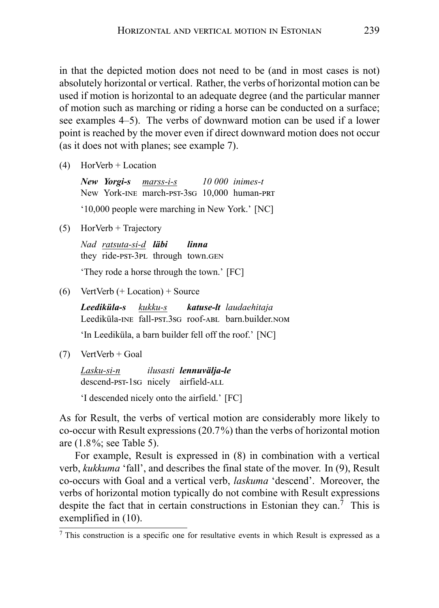in that the depicted motion does not need to be (and in most cases is not) absolutely horizontal or vertical. Rather, the verbs of horizontal motion can be used if motion is horizontal to an adequate degree (and the particular manner of motion such as marching or riding a horse can be conducted on a surface; see examples 4–5). The verbs of downward motion can be used if a lower point is reached by the mover even if direct downward motion does not occur (as it does not with planes; see example 7).

(4) HorVerb + Location

*New Yorgi-s marss-i-s* New York-INE march-PST-3sG 10,000 human-PRT *10 000 inimes-t* '10,000 people were marching in New York.' [NC]

(5) HorVerb + Trajectory

*Nad ratsuta-si-d läbi* they ride-pst-3pl through town.GEN *linna*

'They rode a horse through the town.' [FC]

(6) VertVerb (+ Location) + Source

*Leediküla-s* Leediküla-INE fall-PST.3sG roof-ABL barn.builder.NOM *kukku-s katuse-lt laudaehitaja*

'In Leediküla, a barn builder fell off the roof.' [NC]

 $(7)$  VertVerb + Goal

*Lasku-si-n* descend-psT-1sG nicely airfield-ALL *ilusasti lennuvälja-le*

'I descended nicely onto the airfield.' [FC]

As for Result, the verbs of vertical motion are considerably more likely to co-occur with Result expressions (20.7%) than the verbs of horizontal motion are (1.8%; see Table 5).

For example, Result is expressed in (8) in combination with a vertical verb, *kukkuma* 'fall', and describes the final state of the mover. In (9), Result co-occurs with Goal and a vertical verb, *laskuma* 'descend'. Moreover, the verbs of horizontal motion typically do not combine with Result expressions despite the fact that in certain constructions in Estonian they can.<sup>7</sup> This is exemplified in (10).

<sup>7</sup> This construction is a specific one for resultative events in which Result is expressed as a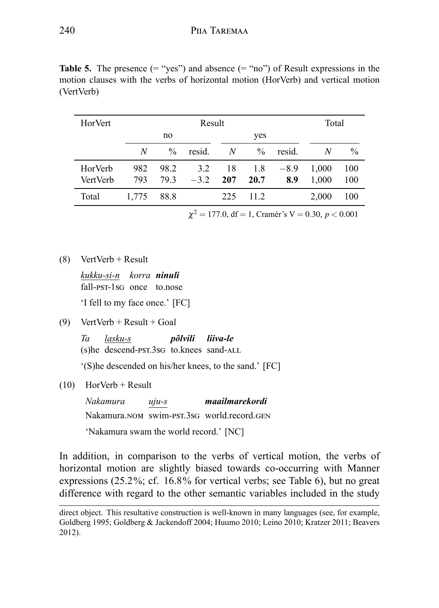| HorVert         |       |               | Result |     |               |        | Total |               |
|-----------------|-------|---------------|--------|-----|---------------|--------|-------|---------------|
|                 |       | no            |        |     | yes           |        |       |               |
|                 | N     | $\frac{0}{0}$ | resid. | N   | $\frac{0}{0}$ | resid. | N     | $\frac{0}{0}$ |
| HorVerb         | 982   | 98.2          | 3.2    | 18  | 1.8           | $-8.9$ | 1,000 | 100           |
| <b>VertVerb</b> | 793   | 793           | $-3.2$ | 207 | 20.7          | 8.9    | 1.000 | 100           |
| Total           | 1.775 | 88.8          |        | 225 | 11.2          |        | 2,000 | 100           |

**Table 5.** The presence  $(=$  "yes") and absence  $(=$  "no") of Result expressions in the motion clauses with the verbs of horizontal motion (HorVerb) and vertical motion (VertVerb)

 $\chi^2 = 177.0$ , df = 1, Cramér's V = 0.30, *p* < 0.001

(8) VertVerb + Result

*kukku-si-n korra ninuli* fall-pst-1sG once to.nose

'I fell to my face once.' [FC]

 $(9)$  VertVerb + Result + Goal

*Ta* (s) he descend-pst.3s to.knees sand-ALL *lasku-s põlvili liiva-le*

'(S)he descended on his/her knees, to the sand.' [FC]

(10) HorVerb + Result

*Nakamura* Nakamura.nom swim-pst.3sG world.record.gen *uju-s maailmarekordi* 'Nakamura swam the world record.' [NC]

In addition, in comparison to the verbs of vertical motion, the verbs of horizontal motion are slightly biased towards co-occurring with Manner expressions (25.2%; cf. 16.8% for vertical verbs; see Table 6), but no great difference with regard to the other semantic variables included in the study

direct object. This resultative construction is well-known in many languages (see, for example, Goldberg 1995; Goldberg & Jackendoff 2004; Huumo 2010; Leino 2010; Kratzer 2011; Beavers 2012).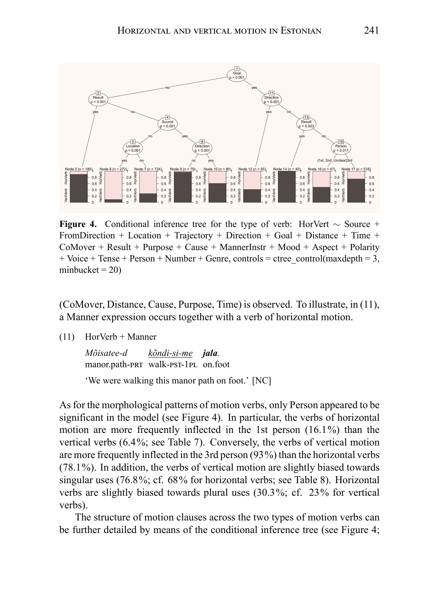

**Figure 4.** Conditional inference tree for the type of verb: HorVert *∼* Source + FromDirection + Location + Trajectory + Direction + Goal + Distance + Time +  $COMover + Result + Purpose + Cause + MannerInstr + Wood + Aspect + Polarity$  $+$  Voice  $+$  Tense  $+$  Person  $+$  Number  $+$  Genre, controls  $=$  ctree\_control(maxdepth  $= 3$ , minbucket  $= 20$ )

(CoMover, Distance, Cause, Purpose, Time) is observed. To illustrate, in (11), a Manner expression occurs together with a verb of horizontal motion.

(11) HorVerb + Manner

| Mõisatee-d                          | kõndi-si-me <b>jala</b> . |  |
|-------------------------------------|---------------------------|--|
| manor.path-PRT walk-PST-1PL on.foot |                           |  |

'We were walking this manor path on foot.' [NC]

As for the morphological patterns of motion verbs, only Person appeared to be significant in the model (see Figure 4). In particular, the verbs of horizontal motion are more frequently inflected in the 1st person (16.1%) than the vertical verbs (6.4%; see Table 7). Conversely, the verbs of vertical motion are more frequently inflected in the 3rd person (93%) than the horizontal verbs (78.1%). In addition, the verbs of vertical motion are slightly biased towards singular uses (76.8%; cf. 68% for horizontal verbs; see Table 8). Horizontal verbs are slightly biased towards plural uses (30.3%; cf. 23% for vertical verbs).

The structure of motion clauses across the two types of motion verbs can be further detailed by means of the conditional inference tree (see Figure 4;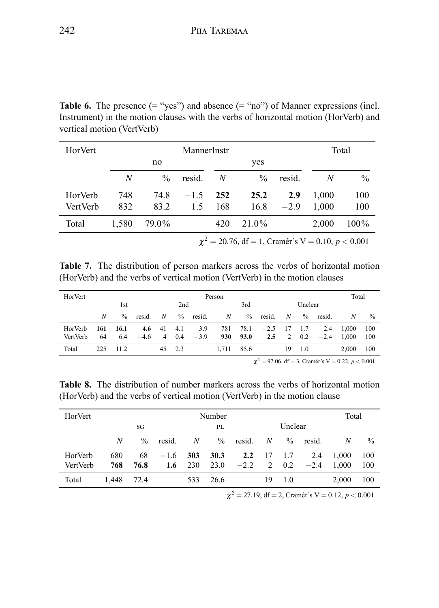**Table 6.** The presence  $(=$  "yes") and absence  $(=$  "no") of Manner expressions (incl. Instrument) in the motion clauses with the verbs of horizontal motion (HorVerb) and vertical motion (VertVerb)

| HorVert  |       |               | MannerInstr |     |                                                         |        |       | Total         |
|----------|-------|---------------|-------------|-----|---------------------------------------------------------|--------|-------|---------------|
|          |       | no            |             |     | yes                                                     |        |       |               |
|          | N     | $\frac{0}{0}$ | resid.      | N   | $\frac{0}{0}$                                           | resid. | N     | $\frac{0}{0}$ |
| HorVerb  | 748   | 74.8          | $-1.5$      | 252 | 25.2                                                    | 2.9    | 1,000 | 100           |
| VertVerb | 832   | 83.2          | 1.5         | 168 | 16.8                                                    | $-2.9$ | 1.000 | 100           |
| Total    | 1.580 | 79.0%         |             | 420 | 21.0%                                                   |        | 2.000 | 100%          |
|          |       |               |             |     | $\chi^2 = 20.76$ , df = 1, Cramér's V = 0.10, p < 0.001 |        |       |               |

**Table 7.** The distribution of person markers across the verbs of horizontal motion (HorVerb) and the verbs of vertical motion (VertVerb) in the motion clauses

| HorVert  |     |               |        |                  |        |        | Person |      |           |    |         |        | Total |      |
|----------|-----|---------------|--------|------------------|--------|--------|--------|------|-----------|----|---------|--------|-------|------|
|          |     | 1st           |        |                  | 2nd    |        |        | 3rd  |           |    | Unclear |        |       |      |
|          | N   | $\frac{0}{0}$ | resid. | $\boldsymbol{N}$ | $\%$   | resid. | N      | $\%$ | resid.    | N  | $\%$    | resid. | N     | $\%$ |
| HorVerb  | 161 | 16.1          | 4.6    | 41               | 4.1    | 3.9    | 781    | 78.1 | $-2.5$ 17 |    | - 1.7   | 2.4    | 1.000 | 100  |
| VertVerb | 64  | 6.4           | $-4.6$ | $\overline{4}$   | 0.4    | $-3.9$ | 930    | 93.0 | 2.5       | 2  | 0.2     | $-2.4$ | 1.000 | 100  |
| Total    | 225 | 11.2          |        |                  | 45 2.3 |        | 1.711  | 85.6 |           | 19 | 1.0     |        | 2.000 | 100  |
|          |     |               |        |                  |        |        |        |      |           |    |         |        |       |      |

 $\chi^2 = 97.06$ , df = 3, Cramér's V = 0.22, *p* < 0.001

**Table 8.** The distribution of number markers across the verbs of horizontal motion (HorVerb) and the verbs of vertical motion (VertVerb) in the motion clause

| HorVert  |       |               |        |     | Number        |               |        |               |        | Total |               |
|----------|-------|---------------|--------|-----|---------------|---------------|--------|---------------|--------|-------|---------------|
|          |       | SG            |        |     | PL            |               |        | Unclear       |        |       |               |
|          | N     | $\frac{0}{0}$ | resid. | N   | $\frac{0}{0}$ | resid.        | N      | $\frac{0}{0}$ | resid. | N     | $\frac{0}{0}$ |
| HorVerb  | 680   | 68            | $-1.6$ | 303 | 30.3          | $2.2^{\circ}$ | 17 1.7 |               | 2.4    | 1.000 | 100           |
| VertVerb | 768   | 76.8          | 1.6    | 230 | 23.0          | $-2.2$        | 2      | 0.2           | $-2.4$ | 1.000 | 100           |
| Total    | 1.448 | 72.4          |        | 533 | 26.6          |               | 19     | 1.0           |        | 2.000 | 100           |

 $\chi^2 = 27.19$ , df = 2, Cramér's V = 0.12, *p* < 0.001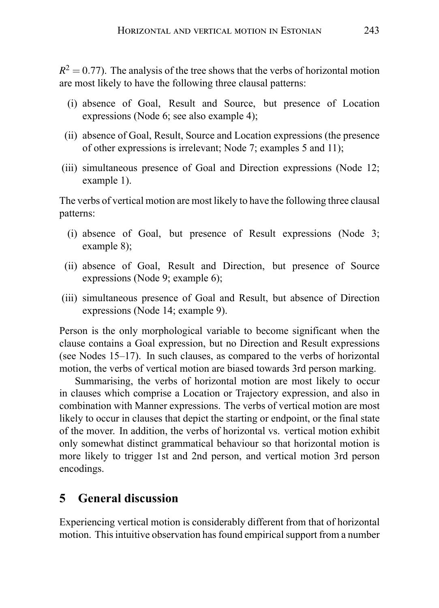$R<sup>2</sup> = 0.77$ ). The analysis of the tree shows that the verbs of horizontal motion are most likely to have the following three clausal patterns:

- (i) absence of Goal, Result and Source, but presence of Location expressions (Node 6; see also example 4);
- (ii) absence of Goal, Result, Source and Location expressions (the presence of other expressions is irrelevant; Node 7; examples 5 and 11);
- (iii) simultaneous presence of Goal and Direction expressions (Node 12; example 1).

The verbs of vertical motion are most likely to have the following three clausal patterns:

- (i) absence of Goal, but presence of Result expressions (Node 3; example 8);
- (ii) absence of Goal, Result and Direction, but presence of Source expressions (Node 9; example 6);
- (iii) simultaneous presence of Goal and Result, but absence of Direction expressions (Node 14; example 9).

Person is the only morphological variable to become significant when the clause contains a Goal expression, but no Direction and Result expressions (see Nodes 15–17). In such clauses, as compared to the verbs of horizontal motion, the verbs of vertical motion are biased towards 3rd person marking.

Summarising, the verbs of horizontal motion are most likely to occur in clauses which comprise a Location or Trajectory expression, and also in combination with Manner expressions. The verbs of vertical motion are most likely to occur in clauses that depict the starting or endpoint, or the final state of the mover. In addition, the verbs of horizontal vs. vertical motion exhibit only somewhat distinct grammatical behaviour so that horizontal motion is more likely to trigger 1st and 2nd person, and vertical motion 3rd person encodings.

## **5 General discussion**

Experiencing vertical motion is considerably different from that of horizontal motion. This intuitive observation has found empirical support from a number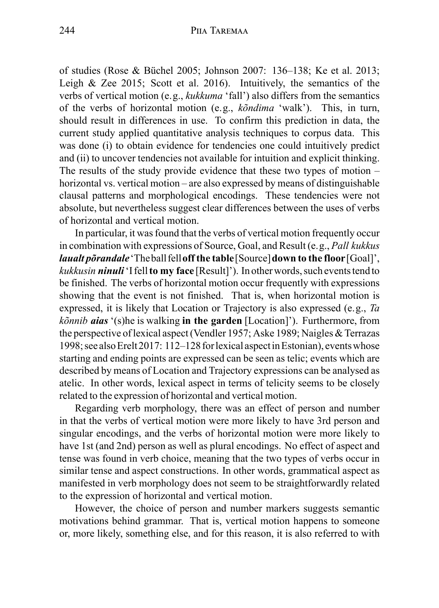of studies (Rose & Büchel 2005; Johnson 2007: 136–138; Ke et al. 2013; Leigh & Zee 2015; Scott et al. 2016). Intuitively, the semantics of the verbs of vertical motion (e.g., *kukkuma* 'fall') also differs from the semantics of the verbs of horizontal motion (e.g., *kõndima* 'walk'). This, in turn, should result in differences in use. To confirm this prediction in data, the current study applied quantitative analysis techniques to corpus data. This was done (i) to obtain evidence for tendencies one could intuitively predict and (ii) to uncover tendencies not available for intuition and explicit thinking. The results of the study provide evidence that these two types of motion – horizontal vs. vertical motion – are also expressed by means of distinguishable clausal patterns and morphological encodings. These tendencies were not absolute, but nevertheless suggest clear differences between the uses of verbs of horizontal and vertical motion.

In particular, it was found that the verbs of vertical motion frequently occur in combination with expressions of Source, Goal, and Result (e.g., *Pall kukkus laualt põrandale*'Theball fell**off the table**[Source]**down to the floor**[Goal]', *kukkusin ninuli* I fell **to my face** [Result]'). In other words, such events tend to be finished. The verbs of horizontal motion occur frequently with expressions showing that the event is not finished. That is, when horizontal motion is expressed, it is likely that Location or Trajectory is also expressed (e.g., *Ta kõnnib aias* '(s)he is walking **in the garden** [Location]'). Furthermore, from the perspective of lexical aspect (Vendler 1957; Aske 1989; Naigles & Terrazas 1998; see alsoErelt 2017: 112–128 forlexical aspectinEstonian), eventswhose starting and ending points are expressed can be seen as telic; events which are described by means of Location and Trajectory expressions can be analysed as atelic. In other words, lexical aspect in terms of telicity seems to be closely related to the expression of horizontal and vertical motion.

Regarding verb morphology, there was an effect of person and number in that the verbs of vertical motion were more likely to have 3rd person and singular encodings, and the verbs of horizontal motion were more likely to have 1st (and 2nd) person as well as plural encodings. No effect of aspect and tense was found in verb choice, meaning that the two types of verbs occur in similar tense and aspect constructions. In other words, grammatical aspect as manifested in verb morphology does not seem to be straightforwardly related to the expression of horizontal and vertical motion.

However, the choice of person and number markers suggests semantic motivations behind grammar. That is, vertical motion happens to someone or, more likely, something else, and for this reason, it is also referred to with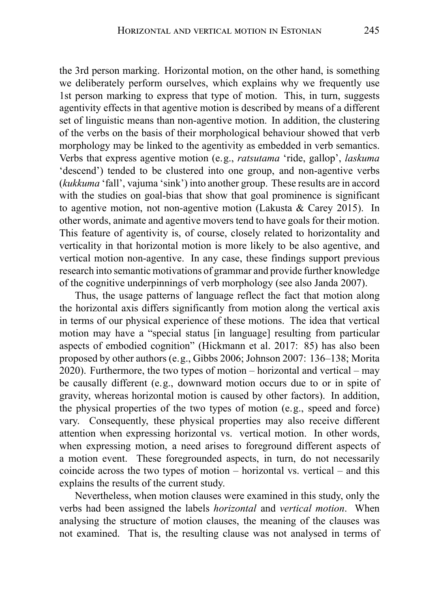the 3rd person marking. Horizontal motion, on the other hand, is something we deliberately perform ourselves, which explains why we frequently use 1st person marking to express that type of motion. This, in turn, suggests agentivity effects in that agentive motion is described by means of a different set of linguistic means than non-agentive motion. In addition, the clustering of the verbs on the basis of their morphological behaviour showed that verb morphology may be linked to the agentivity as embedded in verb semantics. Verbs that express agentive motion (e.g., *ratsutama* 'ride, gallop', *laskuma* 'descend') tended to be clustered into one group, and non-agentive verbs (*kukkuma* 'fall', vajuma 'sink') into another group. These results are in accord with the studies on goal-bias that show that goal prominence is significant to agentive motion, not non-agentive motion (Lakusta & Carey 2015). In other words, animate and agentive movers tend to have goals for their motion. This feature of agentivity is, of course, closely related to horizontality and verticality in that horizontal motion is more likely to be also agentive, and vertical motion non-agentive. In any case, these findings support previous research into semantic motivations of grammar and provide further knowledge of the cognitive underpinnings of verb morphology (see also Janda 2007).

Thus, the usage patterns of language reflect the fact that motion along the horizontal axis differs significantly from motion along the vertical axis in terms of our physical experience of these motions. The idea that vertical motion may have a "special status [in language] resulting from particular aspects of embodied cognition" (Hickmann et al. 2017: 85) has also been proposed by other authors (e.g., Gibbs 2006; Johnson 2007: 136–138; Morita 2020). Furthermore, the two types of motion – horizontal and vertical – may be causally different (e.g., downward motion occurs due to or in spite of gravity, whereas horizontal motion is caused by other factors). In addition, the physical properties of the two types of motion (e.g., speed and force) vary. Consequently, these physical properties may also receive different attention when expressing horizontal vs. vertical motion. In other words, when expressing motion, a need arises to foreground different aspects of a motion event. These foregrounded aspects, in turn, do not necessarily coincide across the two types of motion – horizontal vs. vertical – and this explains the results of the current study.

Nevertheless, when motion clauses were examined in this study, only the verbs had been assigned the labels *horizontal* and *vertical motion*. When analysing the structure of motion clauses, the meaning of the clauses was not examined. That is, the resulting clause was not analysed in terms of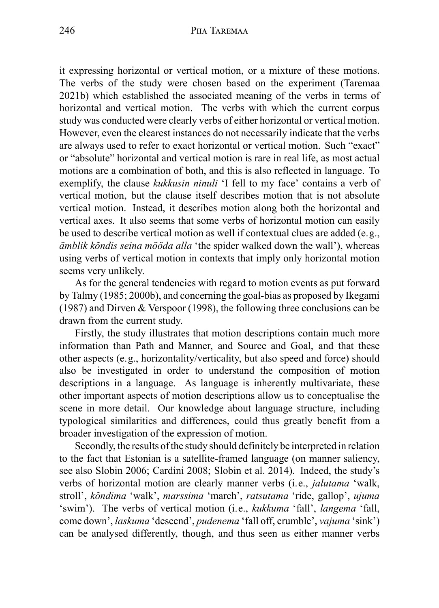it expressing horizontal or vertical motion, or a mixture of these motions. The verbs of the study were chosen based on the experiment (Taremaa 2021b) which established the associated meaning of the verbs in terms of horizontal and vertical motion. The verbs with which the current corpus study was conducted were clearly verbs of either horizontal or vertical motion. However, even the clearest instances do not necessarily indicate that the verbs are always used to refer to exact horizontal or vertical motion. Such "exact" or "absolute" horizontal and vertical motion is rare in real life, as most actual motions are a combination of both, and this is also reflected in language. To exemplify, the clause *kukkusin ninuli* 'I fell to my face' contains a verb of vertical motion, but the clause itself describes motion that is not absolute vertical motion. Instead, it describes motion along both the horizontal and vertical axes. It also seems that some verbs of horizontal motion can easily be used to describe vertical motion as well if contextual clues are added (e.g., *ämblik kõndis seina mööda alla* 'the spider walked down the wall'), whereas using verbs of vertical motion in contexts that imply only horizontal motion seems very unlikely.

As for the general tendencies with regard to motion events as put forward by Talmy (1985; 2000b), and concerning the goal-bias as proposed by Ikegami (1987) and Dirven & Verspoor (1998), the following three conclusions can be drawn from the current study.

Firstly, the study illustrates that motion descriptions contain much more information than Path and Manner, and Source and Goal, and that these other aspects (e.g., horizontality/verticality, but also speed and force) should also be investigated in order to understand the composition of motion descriptions in a language. As language is inherently multivariate, these other important aspects of motion descriptions allow us to conceptualise the scene in more detail. Our knowledge about language structure, including typological similarities and differences, could thus greatly benefit from a broader investigation of the expression of motion.

Secondly, the results of the study should definitely be interpreted in relation to the fact that Estonian is a satellite-framed language (on manner saliency, see also Slobin 2006; Cardini 2008; Slobin et al. 2014). Indeed, the study's verbs of horizontal motion are clearly manner verbs (i.e., *jalutama* 'walk, stroll', *kõndima* 'walk', *marssima* 'march', *ratsutama* 'ride, gallop', *ujuma* 'swim'). The verbs of vertical motion (i.e., *kukkuma* 'fall', *langema* 'fall, come down', *laskuma* 'descend', *pudenema* 'fall off, crumble', *vajuma* 'sink') can be analysed differently, though, and thus seen as either manner verbs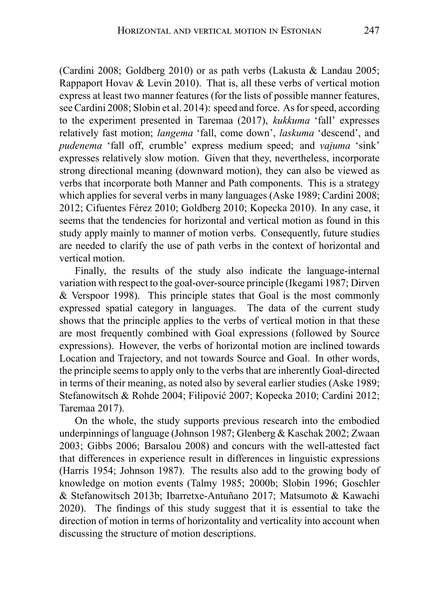(Cardini 2008; Goldberg 2010) or as path verbs (Lakusta & Landau 2005; Rappaport Hovav & Levin 2010). That is, all these verbs of vertical motion express at least two manner features (for the lists of possible manner features, see Cardini 2008; Slobin et al. 2014): speed and force. As for speed, according to the experiment presented in Taremaa (2017), *kukkuma* 'fall' expresses relatively fast motion; *langema* 'fall, come down', *laskuma* 'descend', and *pudenema* 'fall off, crumble' express medium speed; and *vajuma* 'sink' expresses relatively slow motion. Given that they, nevertheless, incorporate strong directional meaning (downward motion), they can also be viewed as verbs that incorporate both Manner and Path components. This is a strategy which applies for several verbs in many languages (Aske 1989; Cardini 2008; 2012; Cifuentes Férez 2010; Goldberg 2010; Kopecka 2010). In any case, it seems that the tendencies for horizontal and vertical motion as found in this study apply mainly to manner of motion verbs. Consequently, future studies are needed to clarify the use of path verbs in the context of horizontal and vertical motion.

Finally, the results of the study also indicate the language-internal variation with respect to the goal-over-source principle (Ikegami 1987; Dirven & Verspoor 1998). This principle states that Goal is the most commonly expressed spatial category in languages. The data of the current study shows that the principle applies to the verbs of vertical motion in that these are most frequently combined with Goal expressions (followed by Source expressions). However, the verbs of horizontal motion are inclined towards Location and Trajectory, and not towards Source and Goal. In other words, the principle seems to apply only to the verbs that are inherently Goal-directed in terms of their meaning, as noted also by several earlier studies (Aske 1989; Stefanowitsch & Rohde 2004; Filipović 2007; Kopecka 2010; Cardini 2012; Taremaa 2017).

On the whole, the study supports previous research into the embodied underpinnings of language (Johnson 1987; Glenberg & Kaschak 2002; Zwaan 2003; Gibbs 2006; Barsalou 2008) and concurs with the well-attested fact that differences in experience result in differences in linguistic expressions (Harris 1954; Johnson 1987). The results also add to the growing body of knowledge on motion events (Talmy 1985; 2000b; Slobin 1996; Goschler & Stefanowitsch 2013b; Ibarretxe-Antuñano 2017; Matsumoto & Kawachi 2020). The findings of this study suggest that it is essential to take the direction of motion in terms of horizontality and verticality into account when discussing the structure of motion descriptions.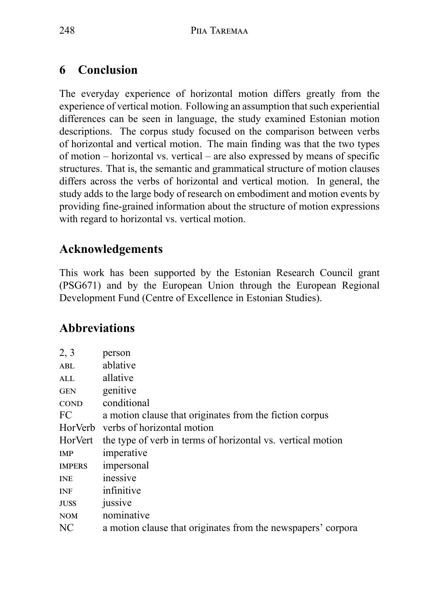# **6 Conclusion**

The everyday experience of horizontal motion differs greatly from the experience of vertical motion. Following an assumption that such experiential differences can be seen in language, the study examined Estonian motion descriptions. The corpus study focused on the comparison between verbs of horizontal and vertical motion. The main finding was that the two types of motion – horizontal vs. vertical – are also expressed by means of specific structures. That is, the semantic and grammatical structure of motion clauses differs across the verbs of horizontal and vertical motion. In general, the study adds to the large body of research on embodiment and motion events by providing fine-grained information about the structure of motion expressions with regard to horizontal vs. vertical motion.

# **Acknowledgements**

This work has been supported by the Estonian Research Council grant (PSG671) and by the European Union through the European Regional Development Fund (Centre of Excellence in Estonian Studies).

# **Abbreviations**

| 2, 3          | person                                                       |
|---------------|--------------------------------------------------------------|
| ABL           | ablative                                                     |
| ALL           | allative                                                     |
| GEN           | genitive                                                     |
| <b>COND</b>   | conditional                                                  |
| FC            | a motion clause that originates from the fiction corpus      |
| HorVerb       | verbs of horizontal motion                                   |
| HorVert       | the type of verb in terms of horizontal vs. vertical motion  |
| IMP           | imperative                                                   |
| <b>IMPERS</b> | impersonal                                                   |
| <b>INE</b>    | inessive                                                     |
| INF           | infinitive                                                   |
| <b>JUSS</b>   | jussive                                                      |
| <b>NOM</b>    | nominative                                                   |
| NС            | a motion clause that originates from the newspapers' corpora |
|               |                                                              |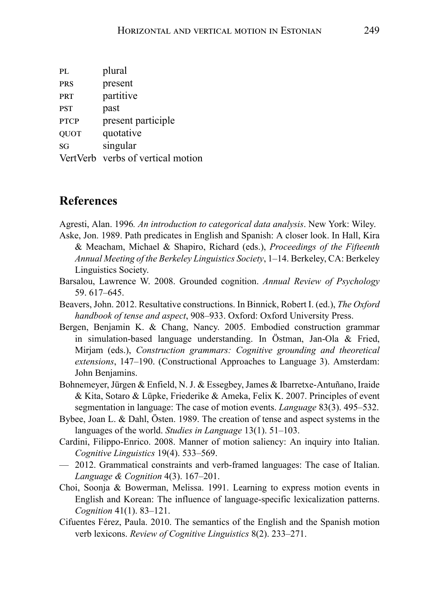| PI.         | plural                            |
|-------------|-----------------------------------|
| <b>PRS</b>  | present                           |
| <b>PRT</b>  | partitive                         |
| <b>PST</b>  | past                              |
| <b>PTCP</b> | present participle                |
| <b>OUOT</b> | quotative                         |
| SG          | singular                          |
|             | VertVerb verbs of vertical motion |

### **References**

Agresti, Alan. 1996*. An introduction to categorical data analysis*. New York: Wiley.

- Aske, Jon. 1989. Path predicates in English and Spanish: A closer look. In Hall, Kira & Meacham, Michael & Shapiro, Richard (eds.), *Proceedings of the Fifteenth Annual Meeting of the Berkeley Linguistics Society*, 1–14. Berkeley, CA: Berkeley Linguistics Society.
- Barsalou, Lawrence W. 2008. Grounded cognition. *Annual Review of Psychology* 59. 617–645.
- Beavers, John. 2012. Resultative constructions. In Binnick, Robert I. (ed.), *The Oxford handbook of tense and aspect*, 908–933. Oxford: Oxford University Press.
- Bergen, Benjamin K. & Chang, Nancy. 2005. Embodied construction grammar in simulation-based language understanding. In Östman, Jan-Ola & Fried, Mirjam (eds.), *Construction grammars: Cognitive grounding and theoretical extensions*, 147–190. (Constructional Approaches to Language 3). Amsterdam: John Benjamins.
- Bohnemeyer, Jürgen & Enfield, N. J. & Essegbey, James & Ibarretxe-Antuñano, Iraide & Kita, Sotaro & Lüpke, Friederike & Ameka, Felix K. 2007. Principles of event segmentation in language: The case of motion events. *Language* 83(3). 495–532.
- Bybee, Joan L. & Dahl, Östen. 1989. The creation of tense and aspect systems in the languages of the world. *Studies in Language* 13(1). 51–103.
- Cardini, Filippo-Enrico. 2008. Manner of motion saliency: An inquiry into Italian. *Cognitive Linguistics* 19(4). 533–569.
- 2012. Grammatical constraints and verb-framed languages: The case of Italian. *Language & Cognition* 4(3). 167–201.
- Choi, Soonja & Bowerman, Melissa. 1991. Learning to express motion events in English and Korean: The influence of language-specific lexicalization patterns. *Cognition* 41(1). 83–121.
- Cifuentes Férez, Paula. 2010. The semantics of the English and the Spanish motion verb lexicons. *Review of Cognitive Linguistics* 8(2). 233–271.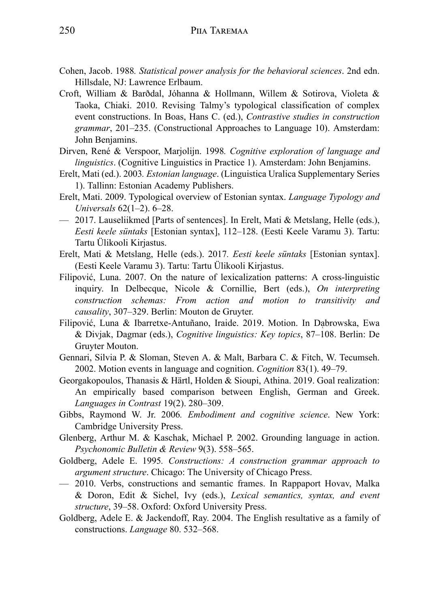- Cohen, Jacob. 1988*. Statistical power analysis for the behavioral sciences*. 2nd edn. Hillsdale, NJ: Lawrence Erlbaum.
- Croft, William & Barðdal, Jóhanna & Hollmann, Willem & Sotirova, Violeta & Taoka, Chiaki. 2010. Revising Talmy's typological classification of complex event constructions. In Boas, Hans C. (ed.), *Contrastive studies in construction grammar*, 201–235. (Constructional Approaches to Language 10). Amsterdam: John Benjamins.
- Dirven, René & Verspoor, Marjolijn. 1998*. Cognitive exploration of language and linguistics*. (Cognitive Linguistics in Practice 1). Amsterdam: John Benjamins.
- Erelt, Mati (ed.). 2003*. Estonian language*. (Linguistica Uralica Supplementary Series 1). Tallinn: Estonian Academy Publishers.
- Erelt, Mati. 2009. Typological overview of Estonian syntax. *Language Typology and Universals* 62(1–2). 6–28.
- 2017. Lauseliikmed [Parts of sentences]. In Erelt, Mati & Metslang, Helle (eds.), *Eesti keele süntaks* [Estonian syntax], 112–128. (Eesti Keele Varamu 3). Tartu: Tartu Ülikooli Kirjastus.
- Erelt, Mati & Metslang, Helle (eds.). 2017*. Eesti keele süntaks* [Estonian syntax]. (Eesti Keele Varamu 3). Tartu: Tartu Ülikooli Kirjastus.
- Filipović, Luna. 2007. On the nature of lexicalization patterns: A cross-linguistic inquiry. In Delbecque, Nicole & Cornillie, Bert (eds.), *On interpreting construction schemas: From action and motion to transitivity and causality*, 307–329. Berlin: Mouton de Gruyter.
- Filipović, Luna & Ibarretxe-Antuñano, Iraide. 2019. Motion. In Dabrowska, Ewa & Divjak, Dagmar (eds.), *Cognitive linguistics: Key topics*, 87–108. Berlin: De Gruyter Mouton.
- Gennari, Silvia P. & Sloman, Steven A. & Malt, Barbara C. & Fitch, W. Tecumseh. 2002. Motion events in language and cognition. *Cognition* 83(1). 49–79.
- Georgakopoulos, Thanasis & Härtl, Holden & Sioupi, Athina. 2019. Goal realization: An empirically based comparison between English, German and Greek. *Languages in Contrast* 19(2). 280–309.
- Gibbs, Raymond W. Jr. 2006*. Embodiment and cognitive science*. New York: Cambridge University Press.
- Glenberg, Arthur M. & Kaschak, Michael P. 2002. Grounding language in action. *Psychonomic Bulletin & Review* 9(3). 558–565.
- Goldberg, Adele E. 1995*. Constructions: A construction grammar approach to argument structure*. Chicago: The University of Chicago Press.
- 2010. Verbs, constructions and semantic frames. In Rappaport Hovav, Malka & Doron, Edit & Sichel, Ivy (eds.), *Lexical semantics, syntax, and event structure*, 39–58. Oxford: Oxford University Press.
- Goldberg, Adele E. & Jackendoff, Ray. 2004. The English resultative as a family of constructions. *Language* 80. 532–568.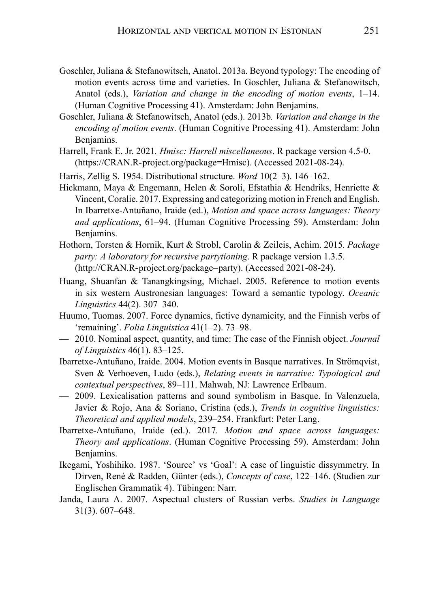- Goschler, Juliana & Stefanowitsch, Anatol. 2013a. Beyond typology: The encoding of motion events across time and varieties. In Goschler, Juliana & Stefanowitsch, Anatol (eds.), *Variation and change in the encoding of motion events*, 1–14. (Human Cognitive Processing 41). Amsterdam: John Benjamins.
- Goschler, Juliana & Stefanowitsch, Anatol (eds.). 2013b*. Variation and change in the encoding of motion events*. (Human Cognitive Processing 41). Amsterdam: John Benjamins.
- Harrell, Frank E. Jr. 2021*. Hmisc: Harrell miscellaneous*. R package version 4.5-0. (https://CRAN.R-project.org/package=Hmisc). (Accessed 2021-08-24).
- Harris, Zellig S. 1954. Distributional structure. *Word* 10(2–3). 146–162.
- Hickmann, Maya & Engemann, Helen & Soroli, Efstathia & Hendriks, Henriette & Vincent, Coralie. 2017. Expressing and categorizing motion in French and English. In Ibarretxe-Antuñano, Iraide (ed.), *Motion and space across languages: Theory and applications*, 61–94. (Human Cognitive Processing 59). Amsterdam: John Benjamins.
- Hothorn, Torsten & Hornik, Kurt & Strobl, Carolin & Zeileis, Achim. 2015*. Package party: A laboratory for recursive partytioning*. R package version 1.3.5. (http://CRAN.R-project.org/package=party). (Accessed 2021-08-24).
- Huang, Shuanfan & Tanangkingsing, Michael. 2005. Reference to motion events in six western Austronesian languages: Toward a semantic typology. *Oceanic Linguistics* 44(2). 307–340.
- Huumo, Tuomas. 2007. Force dynamics, fictive dynamicity, and the Finnish verbs of 'remaining'. *Folia Linguistica* 41(1–2). 73–98.
- 2010. Nominal aspect, quantity, and time: The case of the Finnish object. *Journal of Linguistics* 46(1). 83–125.
- Ibarretxe-Antuñano, Iraide. 2004. Motion events in Basque narratives. In Strömqvist, Sven & Verhoeven, Ludo (eds.), *Relating events in narrative: Typological and contextual perspectives*, 89–111. Mahwah, NJ: Lawrence Erlbaum.
- 2009. Lexicalisation patterns and sound symbolism in Basque. In Valenzuela, Javier & Rojo, Ana & Soriano, Cristina (eds.), *Trends in cognitive linguistics: Theoretical and applied models*, 239–254. Frankfurt: Peter Lang.
- Ibarretxe-Antuñano, Iraide (ed.). 2017*. Motion and space across languages: Theory and applications*. (Human Cognitive Processing 59). Amsterdam: John Benjamins.
- Ikegami, Yoshihiko. 1987. 'Source' vs 'Goal': A case of linguistic dissymmetry. In Dirven, René & Radden, Günter (eds.), *Concepts of case*, 122–146. (Studien zur Englischen Grammatik 4). Tübingen: Narr.
- Janda, Laura A. 2007. Aspectual clusters of Russian verbs. *Studies in Language* 31(3). 607–648.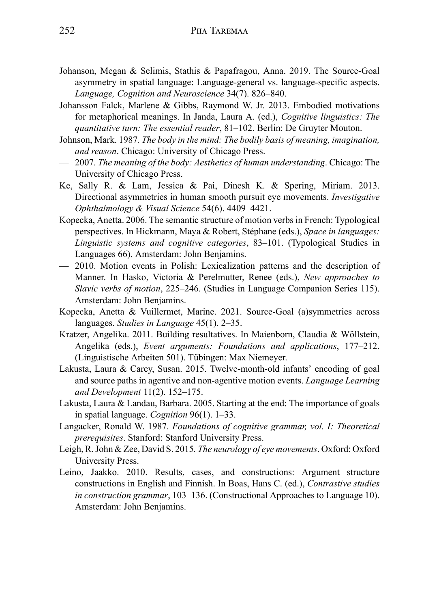- Johanson, Megan & Selimis, Stathis & Papafragou, Anna. 2019. The Source-Goal asymmetry in spatial language: Language-general vs. language-specific aspects. *Language, Cognition and Neuroscience* 34(7). 826–840.
- Johansson Falck, Marlene & Gibbs, Raymond W. Jr. 2013. Embodied motivations for metaphorical meanings. In Janda, Laura A. (ed.), *Cognitive linguistics: The quantitative turn: The essential reader*, 81–102. Berlin: De Gruyter Mouton.
- Johnson, Mark. 1987*. The body in the mind: The bodily basis of meaning, imagination, and reason*. Chicago: University of Chicago Press.
- 2007*. The meaning of the body: Aesthetics of human understanding*. Chicago: The University of Chicago Press.
- Ke, Sally R. & Lam, Jessica & Pai, Dinesh K. & Spering, Miriam. 2013. Directional asymmetries in human smooth pursuit eye movements. *Investigative Ophthalmology & Visual Science* 54(6). 4409–4421.
- Kopecka, Anetta. 2006. The semantic structure of motion verbs in French: Typological perspectives. In Hickmann, Maya & Robert, Stéphane (eds.), *Space in languages: Linguistic systems and cognitive categories*, 83–101. (Typological Studies in Languages 66). Amsterdam: John Benjamins.
- 2010. Motion events in Polish: Lexicalization patterns and the description of Manner. In Hasko, Victoria & Perelmutter, Renee (eds.), *New approaches to Slavic verbs of motion*, 225–246. (Studies in Language Companion Series 115). Amsterdam: John Benjamins.
- Kopecka, Anetta & Vuillermet, Marine. 2021. Source-Goal (a)symmetries across languages. *Studies in Language* 45(1). 2–35.
- Kratzer, Angelika. 2011. Building resultatives. In Maienborn, Claudia & Wöllstein, Angelika (eds.), *Event arguments: Foundations and applications*, 177–212. (Linguistische Arbeiten 501). Tübingen: Max Niemeyer.
- Lakusta, Laura & Carey, Susan. 2015. Twelve-month-old infants' encoding of goal and source paths in agentive and non-agentive motion events. *Language Learning and Development* 11(2). 152–175.
- Lakusta, Laura & Landau, Barbara. 2005. Starting at the end: The importance of goals in spatial language. *Cognition* 96(1). 1–33.
- Langacker, Ronald W. 1987*. Foundations of cognitive grammar, vol. I: Theoretical prerequisites*. Stanford: Stanford University Press.
- Leigh, R. John & Zee, David S. 2015*. The neurology of eye movements*. Oxford: Oxford University Press.
- Leino, Jaakko. 2010. Results, cases, and constructions: Argument structure constructions in English and Finnish. In Boas, Hans C. (ed.), *Contrastive studies in construction grammar*, 103–136. (Constructional Approaches to Language 10). Amsterdam: John Benjamins.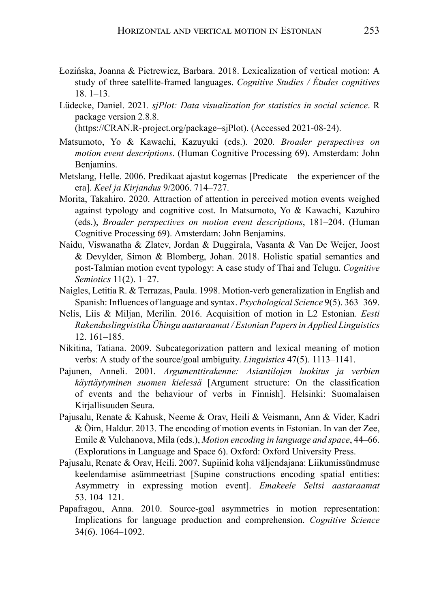- Łozińska, Joanna & Pietrewicz, Barbara. 2018. Lexicalization of vertical motion: A study of three satellite-framed languages. *Cognitive Studies / Études cognitives* 18. 1–13.
- Lüdecke, Daniel. 2021*. sjPlot: Data visualization for statistics in social science*. R package version 2.8.8.

(https://CRAN.R-project.org/package=sjPlot). (Accessed 2021-08-24).

- Matsumoto, Yo & Kawachi, Kazuyuki (eds.). 2020*. Broader perspectives on motion event descriptions*. (Human Cognitive Processing 69). Amsterdam: John Benjamins.
- Metslang, Helle. 2006. Predikaat ajastut kogemas [Predicate the experiencer of the era]. *Keel ja Kirjandus* 9/2006. 714–727.
- Morita, Takahiro. 2020. Attraction of attention in perceived motion events weighed against typology and cognitive cost. In Matsumoto, Yo & Kawachi, Kazuhiro (eds.), *Broader perspectives on motion event descriptions*, 181–204. (Human Cognitive Processing 69). Amsterdam: John Benjamins.
- Naidu, Viswanatha & Zlatev, Jordan & Duggirala, Vasanta & Van De Weijer, Joost & Devylder, Simon & Blomberg, Johan. 2018. Holistic spatial semantics and post-Talmian motion event typology: A case study of Thai and Telugu. *Cognitive Semiotics* 11(2). 1–27.
- Naigles, Letitia R. & Terrazas, Paula. 1998. Motion-verb generalization in English and Spanish: Influences of language and syntax. *Psychological Science* 9(5). 363–369.
- Nelis, Liis & Miljan, Merilin. 2016. Acquisition of motion in L2 Estonian. *Eesti Rakenduslingvistika Ühingu aastaraamat / Estonian Papers in Applied Linguistics* 12. 161–185.
- Nikitina, Tatiana. 2009. Subcategorization pattern and lexical meaning of motion verbs: A study of the source/goal ambiguity. *Linguistics* 47(5). 1113–1141.
- Pajunen, Anneli. 2001*. Argumenttirakenne: Asiantilojen luokitus ja verbien käyttäytyminen suomen kielessä* [Argument structure: On the classification of events and the behaviour of verbs in Finnish]. Helsinki: Suomalaisen Kirjallisuuden Seura.
- Pajusalu, Renate & Kahusk, Neeme & Orav, Heili & Veismann, Ann & Vider, Kadri & Õim, Haldur. 2013. The encoding of motion events in Estonian. In van der Zee, Emile & Vulchanova, Mila (eds.), *Motion encoding in language and space*, 44–66. (Explorations in Language and Space 6). Oxford: Oxford University Press.
- Pajusalu, Renate & Orav, Heili. 2007. Supiinid koha väljendajana: Liikumissündmuse keelendamise asümmeetriast [Supine constructions encoding spatial entities: Asymmetry in expressing motion event]. *Emakeele Seltsi aastaraamat* 53. 104–121.
- Papafragou, Anna. 2010. Source-goal asymmetries in motion representation: Implications for language production and comprehension. *Cognitive Science* 34(6). 1064–1092.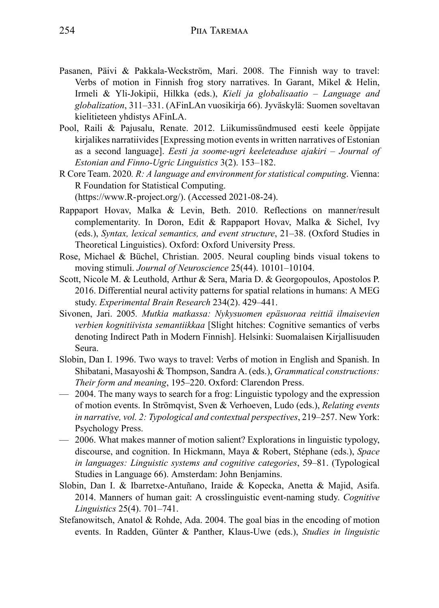- Pasanen, Päivi & Pakkala-Weckström, Mari. 2008. The Finnish way to travel: Verbs of motion in Finnish frog story narratives. In Garant, Mikel & Helin, Irmeli & Yli-Jokipii, Hilkka (eds.), *Kieli ja globalisaatio – Language and globalization*, 311–331. (AFinLAn vuosikirja 66). Jyväskylä: Suomen soveltavan kielitieteen yhdistys AFinLA.
- Pool, Raili & Pajusalu, Renate. 2012. Liikumissündmused eesti keele õppijate kirjalikes narratiivides [Expressing motion events in written narratives of Estonian as a second language]. *Eesti ja soome-ugri keeleteaduse ajakiri – Journal of Estonian and Finno-Ugric Linguistics* 3(2). 153–182.
- R Core Team. 2020*. R: A language and environment for statistical computing*. Vienna: R Foundation for Statistical Computing. (https://www.R-project.org/). (Accessed 2021-08-24).
- Rappaport Hovav, Malka & Levin, Beth. 2010. Reflections on manner/result complementarity. In Doron, Edit & Rappaport Hovav, Malka & Sichel, Ivy (eds.), *Syntax, lexical semantics, and event structure*, 21–38. (Oxford Studies in Theoretical Linguistics). Oxford: Oxford University Press.
- Rose, Michael & Büchel, Christian. 2005. Neural coupling binds visual tokens to moving stimuli. *Journal of Neuroscience* 25(44). 10101–10104.
- Scott, Nicole M. & Leuthold, Arthur & Sera, Maria D. & Georgopoulos, Apostolos P. 2016. Differential neural activity patterns for spatial relations in humans: A MEG study. *Experimental Brain Research* 234(2). 429–441.
- Sivonen, Jari. 2005*. Mutkia matkassa: Nykysuomen epäsuoraa reittiä ilmaisevien verbien kognitiivista semantiikkaa* [Slight hitches: Cognitive semantics of verbs denoting Indirect Path in Modern Finnish]. Helsinki: Suomalaisen Kirjallisuuden Seura.
- Slobin, Dan I. 1996. Two ways to travel: Verbs of motion in English and Spanish. In Shibatani, Masayoshi & Thompson, Sandra A. (eds.), *Grammatical constructions: Their form and meaning*, 195–220. Oxford: Clarendon Press.
- 2004. The many ways to search for a frog: Linguistic typology and the expression of motion events. In Strömqvist, Sven & Verhoeven, Ludo (eds.), *Relating events in narrative, vol. 2: Typological and contextual perspectives*, 219–257. New York: Psychology Press.
- 2006. What makes manner of motion salient? Explorations in linguistic typology, discourse, and cognition. In Hickmann, Maya & Robert, Stéphane (eds.), *Space in languages: Linguistic systems and cognitive categories*, 59–81. (Typological Studies in Language 66). Amsterdam: John Benjamins.
- Slobin, Dan I. & Ibarretxe-Antuñano, Iraide & Kopecka, Anetta & Majid, Asifa. 2014. Manners of human gait: A crosslinguistic event-naming study. *Cognitive Linguistics* 25(4). 701–741.
- Stefanowitsch, Anatol & Rohde, Ada. 2004. The goal bias in the encoding of motion events. In Radden, Günter & Panther, Klaus-Uwe (eds.), *Studies in linguistic*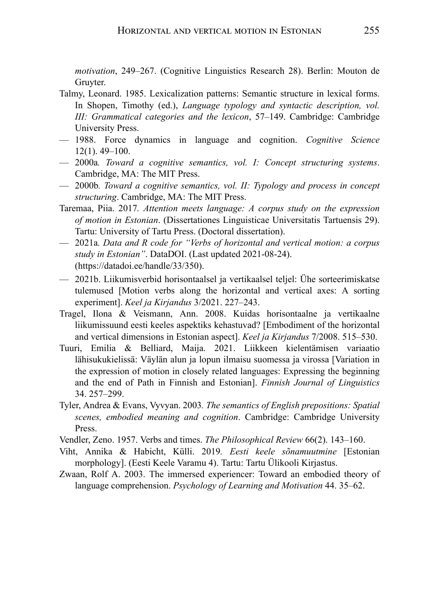*motivation*, 249–267. (Cognitive Linguistics Research 28). Berlin: Mouton de Gruyter.

- Talmy, Leonard. 1985. Lexicalization patterns: Semantic structure in lexical forms. In Shopen, Timothy (ed.), *Language typology and syntactic description, vol. III: Grammatical categories and the lexicon*, 57–149. Cambridge: Cambridge University Press.
- 1988. Force dynamics in language and cognition. *Cognitive Science* 12(1). 49–100.
- 2000a*. Toward a cognitive semantics, vol. I: Concept structuring systems*. Cambridge, MA: The MIT Press.
- 2000b*. Toward a cognitive semantics, vol. II: Typology and process in concept structuring*. Cambridge, MA: The MIT Press.
- Taremaa, Piia. 2017*. Attention meets language: A corpus study on the expression of motion in Estonian*. (Dissertationes Linguisticae Universitatis Tartuensis 29). Tartu: University of Tartu Press. (Doctoral dissertation).
- 2021a*. Data and R code for "Verbs of horizontal and vertical motion: a corpus study in Estonian"*. DataDOI. (Last updated 2021-08-24). (https://datadoi.ee/handle/33/350).
- 2021b. Liikumisverbid horisontaalsel ja vertikaalsel teljel: Ühe sorteerimiskatse tulemused [Motion verbs along the horizontal and vertical axes: A sorting experiment]. *Keel ja Kirjandus* 3/2021. 227–243.
- Tragel, Ilona & Veismann, Ann. 2008. Kuidas horisontaalne ja vertikaalne liikumissuund eesti keeles aspektiks kehastuvad? [Embodiment of the horizontal and vertical dimensions in Estonian aspect]. *Keel ja Kirjandus* 7/2008. 515–530.
- Tuuri, Emilia & Belliard, Maija. 2021. Liikkeen kielentämisen variaatio lähisukukielissä: Väylän alun ja lopun ilmaisu suomessa ja virossa [Variation in the expression of motion in closely related languages: Expressing the beginning and the end of Path in Finnish and Estonian]. *Finnish Journal of Linguistics* 34. 257–299.
- Tyler, Andrea & Evans, Vyvyan. 2003*. The semantics of English prepositions: Spatial scenes, embodied meaning and cognition*. Cambridge: Cambridge University Press.
- Vendler, Zeno. 1957. Verbs and times. *The Philosophical Review* 66(2). 143–160.
- Viht, Annika & Habicht, Külli. 2019*. Eesti keele sõnamuutmine* [Estonian morphology]. (Eesti Keele Varamu 4). Tartu: Tartu Ülikooli Kirjastus.
- Zwaan, Rolf A. 2003. The immersed experiencer: Toward an embodied theory of language comprehension. *Psychology of Learning and Motivation* 44. 35–62.